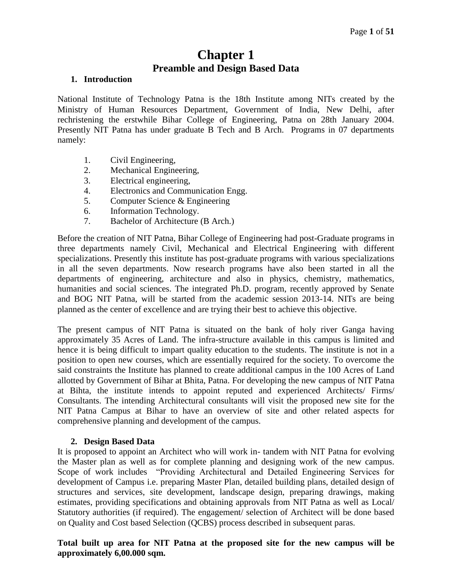# **Chapter 1 Preamble and Design Based Data**

#### **1. Introduction**

National Institute of Technology Patna is the 18th Institute among NITs created by the Ministry of Human Resources Department, Government of India, New Delhi, after rechristening the erstwhile Bihar College of Engineering, Patna on 28th January 2004. Presently NIT Patna has under graduate B Tech and B Arch. Programs in 07 departments namely:

- 1. Civil Engineering,
- 2. Mechanical Engineering,
- 3. Electrical engineering,
- 4. Electronics and Communication Engg.
- 5. Computer Science & Engineering
- 6. Information Technology.
- 7. Bachelor of Architecture (B Arch.)

Before the creation of NIT Patna, Bihar College of Engineering had post-Graduate programs in three departments namely Civil, Mechanical and Electrical Engineering with different specializations. Presently this institute has post-graduate programs with various specializations in all the seven departments. Now research programs have also been started in all the departments of engineering, architecture and also in physics, chemistry, mathematics, humanities and social sciences. The integrated Ph.D. program, recently approved by Senate and BOG NIT Patna, will be started from the academic session 2013-14. NITs are being planned as the center of excellence and are trying their best to achieve this objective.

The present campus of NIT Patna is situated on the bank of holy river Ganga having approximately 35 Acres of Land. The infra-structure available in this campus is limited and hence it is being difficult to impart quality education to the students. The institute is not in a position to open new courses, which are essentially required for the society. To overcome the said constraints the Institute has planned to create additional campus in the 100 Acres of Land allotted by Government of Bihar at Bhita, Patna. For developing the new campus of NIT Patna at Bihta, the institute intends to appoint reputed and experienced Architects/ Firms/ Consultants. The intending Architectural consultants will visit the proposed new site for the NIT Patna Campus at Bihar to have an overview of site and other related aspects for comprehensive planning and development of the campus.

# **2. Design Based Data**

It is proposed to appoint an Architect who will work in- tandem with NIT Patna for evolving the Master plan as well as for complete planning and designing work of the new campus. Scope of work includes "Providing Architectural and Detailed Engineering Services for development of Campus i.e. preparing Master Plan, detailed building plans, detailed design of structures and services, site development, landscape design, preparing drawings, making estimates, providing specifications and obtaining approvals from NIT Patna as well as Local/ Statutory authorities (if required). The engagement/ selection of Architect will be done based on Quality and Cost based Selection (QCBS) process described in subsequent paras.

# **Total built up area for NIT Patna at the proposed site for the new campus will be approximately 6,00.000 sqm.**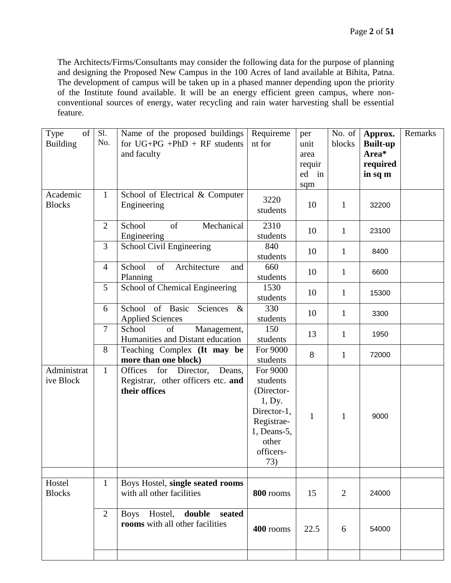The Architects/Firms/Consultants may consider the following data for the purpose of planning and designing the Proposed New Campus in the 100 Acres of land available at Bihita, Patna. The development of campus will be taken up in a phased manner depending upon the priority of the Institute found available. It will be an energy efficient green campus, where nonconventional sources of energy, water recycling and rain water harvesting shall be essential feature.

| of<br>Type<br><b>Building</b> | S1.<br>No.     | Name of the proposed buildings<br>for $UG+PG$ +PhD + RF students<br>and faculty              | Requireme<br>nt for                                                                                                   | per<br>unit<br>area<br>requir<br>ed in<br>sqm | No. of<br>blocks | Approx.<br><b>Built-up</b><br>Area*<br>required<br>in sq m | Remarks |
|-------------------------------|----------------|----------------------------------------------------------------------------------------------|-----------------------------------------------------------------------------------------------------------------------|-----------------------------------------------|------------------|------------------------------------------------------------|---------|
| Academic<br><b>Blocks</b>     | $\mathbf{1}$   | School of Electrical & Computer<br>Engineering                                               | 3220<br>students                                                                                                      | 10                                            | $\mathbf{1}$     | 32200                                                      |         |
|                               | $\overline{2}$ | Mechanical<br>School<br>of<br>Engineering                                                    | 2310<br>students                                                                                                      | 10                                            | $\mathbf{1}$     | 23100                                                      |         |
|                               | 3              | <b>School Civil Engineering</b>                                                              | 840<br>students                                                                                                       | 10                                            | $\mathbf{1}$     | 8400                                                       |         |
|                               | $\overline{4}$ | of<br>School<br>Architecture<br>and<br>Planning                                              | 660<br>students                                                                                                       | 10                                            | $\mathbf{1}$     | 6600                                                       |         |
|                               | 5              | School of Chemical Engineering                                                               | 1530<br>students                                                                                                      | 10                                            | $\mathbf{1}$     | 15300                                                      |         |
|                               | 6              | School of Basic<br>Sciences<br>$\&$<br><b>Applied Sciences</b>                               | 330<br>students                                                                                                       | 10                                            | $\mathbf{1}$     | 3300                                                       |         |
|                               | $\overline{7}$ | School<br>of<br>Management,<br>Humanities and Distant education                              | 150<br>students                                                                                                       | 13                                            | $\mathbf{1}$     | 1950                                                       |         |
|                               | 8              | Teaching Complex (It may be<br>more than one block)                                          | For 9000<br>students                                                                                                  | 8                                             | $\mathbf{1}$     | 72000                                                      |         |
| Administrat<br>ive Block      | $\mathbf{1}$   | Deans,<br>Offices<br>for<br>Director,<br>Registrar, other officers etc. and<br>their offices | For 9000<br>students<br>(Director-<br>1, Dy.<br>Director-1,<br>Registrae-<br>1, Deans-5,<br>other<br>officers-<br>73) | $\mathbf{1}$                                  | $\mathbf{1}$     | 9000                                                       |         |
|                               |                |                                                                                              |                                                                                                                       |                                               |                  |                                                            |         |
| Hostel<br><b>Blocks</b>       | $\mathbf{1}$   | Boys Hostel, single seated rooms<br>with all other facilities                                | 800 rooms                                                                                                             | 15                                            | $\overline{2}$   | 24000                                                      |         |
|                               | $\overline{2}$ | double<br>Hostel,<br>seated<br><b>Boys</b><br>rooms with all other facilities                | 400 rooms                                                                                                             | 22.5                                          | 6                | 54000                                                      |         |
|                               |                |                                                                                              |                                                                                                                       |                                               |                  |                                                            |         |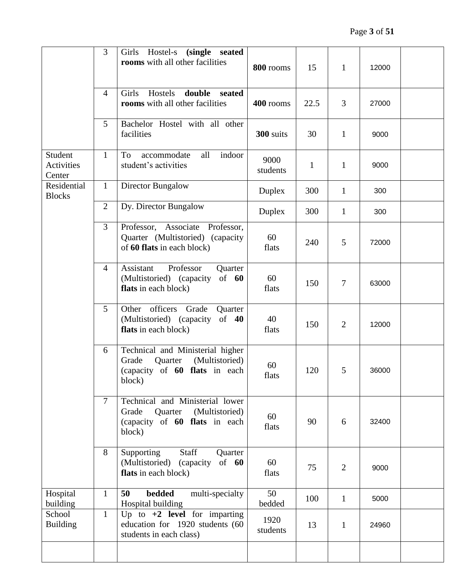|                                 | 3              | Hostel-s<br>(single seated<br>Girls<br>rooms with all other facilities                                            | 800 rooms        | 15           | $\mathbf{1}$   | 12000 |  |
|---------------------------------|----------------|-------------------------------------------------------------------------------------------------------------------|------------------|--------------|----------------|-------|--|
| $\overline{4}$                  |                | Hostels<br>double<br>Girls<br>seated<br>rooms with all other facilities                                           | 400 rooms        | 22.5         | 3              | 27000 |  |
|                                 | 5              | Bachelor Hostel with all other<br>facilities                                                                      | 300 suits        | 30           | $\mathbf{1}$   | 9000  |  |
| Student<br>Activities<br>Center | $\mathbf{1}$   | accommodate<br>indoor<br>To<br>all<br>student's activities                                                        | 9000<br>students | $\mathbf{1}$ | $\mathbf{1}$   | 9000  |  |
| Residential<br><b>Blocks</b>    | $\mathbf{1}$   | Director Bungalow                                                                                                 | Duplex           | 300          | $\mathbf{1}$   | 300   |  |
|                                 | $\overline{2}$ | Dy. Director Bungalow                                                                                             | Duplex           | 300          | $\mathbf{1}$   | 300   |  |
|                                 | 3              | Professor, Associate Professor,<br>Quarter (Multistoried) (capacity<br>of 60 flats in each block)                 | 60<br>flats      | 240          | 5              | 72000 |  |
|                                 | $\overline{4}$ | Professor<br>Assistant<br>Quarter<br>of $60$<br>(Multistoried) (capacity<br>flats in each block)                  | 60<br>flats      | 150          | 7              | 63000 |  |
|                                 | 5              | officers<br>Other<br>Grade<br>Quarter<br>(Multistoried) (capacity<br>of $40$<br>flats in each block)              | 40<br>flats      | 150          | $\overline{2}$ | 12000 |  |
|                                 | 6              | Technical and Ministerial higher<br>(Multistoried)<br>Grade<br>Quarter<br>(capacity of 60 flats in each<br>block) | 60<br>flats      | 120          | 5              | 36000 |  |
|                                 | $\overline{7}$ | Technical and Ministerial lower<br>Quarter<br>Grade<br>(Multistoried)<br>(capacity of 60 flats in each<br>block)  | 60<br>flats      | 90           | 6              | 32400 |  |
|                                 | 8              | Staff<br>Supporting<br>Quarter<br>(Multistoried) (capacity<br>of $60$<br>flats in each block)                     | 60<br>flats      | 75           | $\overline{2}$ | 9000  |  |
| Hospital<br>building            | $\mathbf{1}$   | bedded<br>50<br>multi-specialty<br>Hospital building                                                              | 50<br>bedded     | 100          | $\mathbf{1}$   | 5000  |  |
| School<br><b>Building</b>       | $\mathbf{1}$   | Up to $+2$ level for imparting<br>education for 1920 students (60<br>students in each class)                      | 1920<br>students | 13           | $\mathbf{1}$   | 24960 |  |
|                                 |                |                                                                                                                   |                  |              |                |       |  |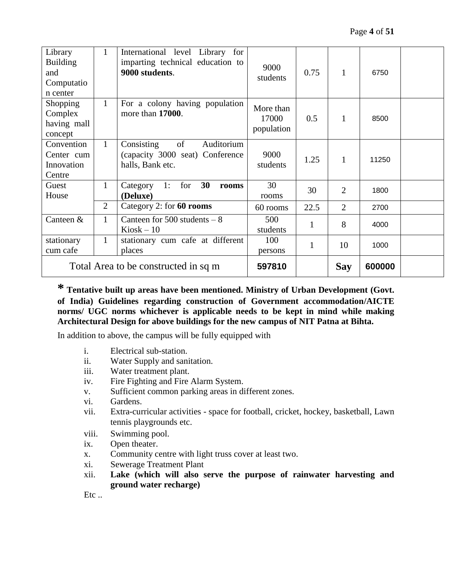| Library<br><b>Building</b><br>and<br>Computatio<br>n center | 1                                               | International level Library for<br>imparting technical education to<br>9000 students. | 9000<br>students                 | 0.75 | $\mathbf{1}$   | 6750   |  |
|-------------------------------------------------------------|-------------------------------------------------|---------------------------------------------------------------------------------------|----------------------------------|------|----------------|--------|--|
| Shopping<br>Complex<br>having mall<br>concept               | $\mathbf{1}$                                    | For a colony having population<br>more than 17000.                                    | More than<br>17000<br>population | 0.5  | $\mathbf{1}$   | 8500   |  |
| Convention<br>Center cum<br>Innovation<br>Centre            | $\mathbf{1}$                                    | of<br>Consisting<br>Auditorium<br>(capacity 3000 seat) Conference<br>halls, Bank etc. | 9000<br>students                 | 1.25 | 1              | 11250  |  |
| Guest<br>House                                              | $\mathbf{1}$                                    | for<br>30<br>1:<br>Category<br>rooms<br>(Deluxe)                                      | 30<br>rooms                      | 30   | $\overline{2}$ | 1800   |  |
|                                                             | $\overline{2}$                                  | Category 2: for 60 rooms                                                              | 60 rooms                         | 22.5 | $\overline{2}$ | 2700   |  |
| Canteen &                                                   | $\mathbf{1}$                                    | Canteen for $500$ students $-8$<br>$Kiosk - 10$                                       | 500<br>students                  | 1    | 8              | 4000   |  |
| stationary<br>cum cafe                                      | 1<br>stationary cum cafe at different<br>places |                                                                                       | 100<br>persons                   | 1    | 10             | 1000   |  |
| Total Area to be constructed in sq m                        |                                                 |                                                                                       | 597810                           |      | <b>Say</b>     | 600000 |  |

**\* Tentative built up areas have been mentioned. Ministry of Urban Development (Govt. of India) Guidelines regarding construction of Government accommodation/AICTE norms/ UGC norms whichever is applicable needs to be kept in mind while making Architectural Design for above buildings for the new campus of NIT Patna at Bihta.**

In addition to above, the campus will be fully equipped with

- i. Electrical sub-station.
- ii. Water Supply and sanitation.
- iii. Water treatment plant.
- iv. Fire Fighting and Fire Alarm System.
- v. Sufficient common parking areas in different zones.
- vi. Gardens.
- vii. Extra-curricular activities space for football, cricket, hockey, basketball, Lawn tennis playgrounds etc.
- viii. Swimming pool.
- ix. Open theater.
- x. Community centre with light truss cover at least two.
- xi. Sewerage Treatment Plant
- xii. **Lake (which will also serve the purpose of rainwater harvesting and ground water recharge)**

 $Etc$ ..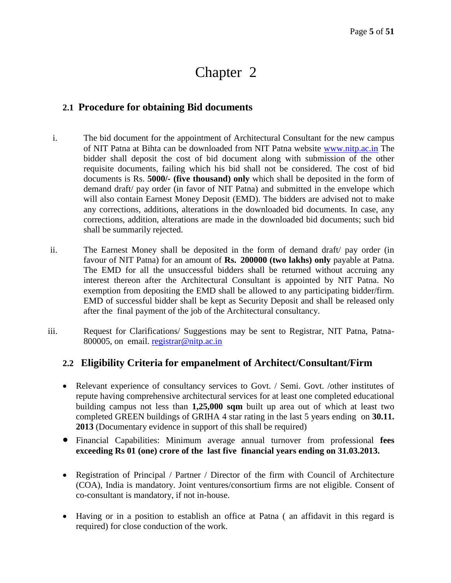# **2.1 Procedure for obtaining Bid documents**

- i. The bid document for the appointment of Architectural Consultant for the new campus of NIT Patna at Bihta can be downloaded from NIT Patna website [www.nitp.ac.in](http://www.nitp.ac.in/) The bidder shall deposit the cost of bid document along with submission of the other requisite documents, failing which his bid shall not be considered. The cost of bid documents is Rs. **5000/- (five thousand) only** which shall be deposited in the form of demand draft/ pay order (in favor of NIT Patna) and submitted in the envelope which will also contain Earnest Money Deposit (EMD). The bidders are advised not to make any corrections, additions, alterations in the downloaded bid documents. In case, any corrections, addition, alterations are made in the downloaded bid documents; such bid shall be summarily rejected.
- ii. The Earnest Money shall be deposited in the form of demand draft/ pay order (in favour of NIT Patna) for an amount of **Rs. 200000 (two lakhs) only** payable at Patna. The EMD for all the unsuccessful bidders shall be returned without accruing any interest thereon after the Architectural Consultant is appointed by NIT Patna. No exemption from depositing the EMD shall be allowed to any participating bidder/firm. EMD of successful bidder shall be kept as Security Deposit and shall be released only after the final payment of the job of the Architectural consultancy.
- iii. Request for Clarifications/ Suggestions may be sent to Registrar, NIT Patna, Patna-800005, on email. [registrar@nitp.ac.in](mailto:registrar@nitp.ac.in)

# **2.2 Eligibility Criteria for empanelment of Architect/Consultant/Firm**

- Relevant experience of consultancy services to Govt. / Semi. Govt. /other institutes of repute having comprehensive architectural services for at least one completed educational building campus not less than **1,25,000 sqm** built up area out of which at least two completed GREEN buildings of GRIHA 4 star rating in the last 5 years ending on **30.11. 2013** (Documentary evidence in support of this shall be required)
- Financial Capabilities: Minimum average annual turnover from professional **fees exceeding Rs 01 (one) crore of the last five financial years ending on 31.03.2013.**
- Registration of Principal / Partner / Director of the firm with Council of Architecture (COA), India is mandatory. Joint ventures/consortium firms are not eligible. Consent of co-consultant is mandatory, if not in-house.
- Having or in a position to establish an office at Patna ( an affidavit in this regard is required) for close conduction of the work.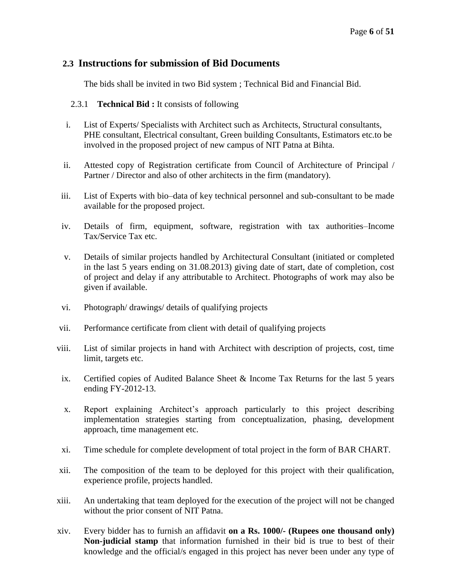# **2.3 Instructions for submission of Bid Documents**

The bids shall be invited in two Bid system ; Technical Bid and Financial Bid.

- 2.3.1 **Technical Bid :** It consists of following
- i. List of Experts/ Specialists with Architect such as Architects, Structural consultants, PHE consultant, Electrical consultant, Green building Consultants, Estimators etc.to be involved in the proposed project of new campus of NIT Patna at Bihta.
- ii. Attested copy of Registration certificate from Council of Architecture of Principal / Partner / Director and also of other architects in the firm (mandatory).
- iii. List of Experts with bio–data of key technical personnel and sub-consultant to be made available for the proposed project.
- iv. Details of firm, equipment, software, registration with tax authorities–Income Tax/Service Tax etc.
- v. Details of similar projects handled by Architectural Consultant (initiated or completed in the last 5 years ending on 31.08.2013) giving date of start, date of completion, cost of project and delay if any attributable to Architect. Photographs of work may also be given if available.
- vi. Photograph/ drawings/ details of qualifying projects
- vii. Performance certificate from client with detail of qualifying projects
- viii. List of similar projects in hand with Architect with description of projects, cost, time limit, targets etc.
- ix. Certified copies of Audited Balance Sheet & Income Tax Returns for the last 5 years ending FY-2012-13.
- x. Report explaining Architect's approach particularly to this project describing implementation strategies starting from conceptualization, phasing, development approach, time management etc.
- xi. Time schedule for complete development of total project in the form of BAR CHART.
- xii. The composition of the team to be deployed for this project with their qualification, experience profile, projects handled.
- xiii. An undertaking that team deployed for the execution of the project will not be changed without the prior consent of NIT Patna.
- xiv. Every bidder has to furnish an affidavit **on a Rs. 1000/- (Rupees one thousand only) Non-judicial stamp** that information furnished in their bid is true to best of their knowledge and the official/s engaged in this project has never been under any type of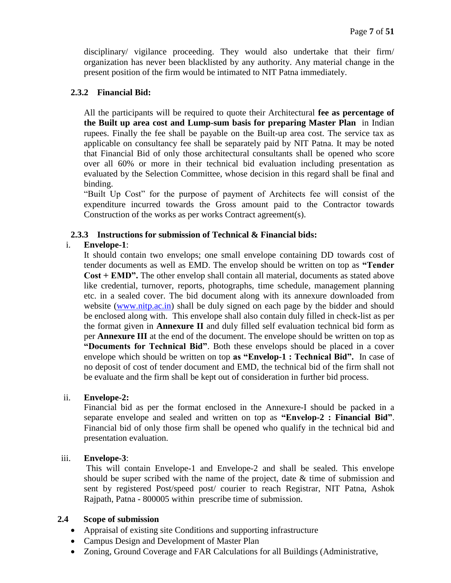disciplinary/ vigilance proceeding. They would also undertake that their firm/ organization has never been blacklisted by any authority. Any material change in the present position of the firm would be intimated to NIT Patna immediately.

#### **2.3.2 Financial Bid:**

All the participants will be required to quote their Architectural **fee as percentage of the Built up area cost and Lump-sum basis for preparing Master Plan** in Indian rupees. Finally the fee shall be payable on the Built-up area cost. The service tax as applicable on consultancy fee shall be separately paid by NIT Patna. It may be noted that Financial Bid of only those architectural consultants shall be opened who score over all 60% or more in their technical bid evaluation including presentation as evaluated by the Selection Committee, whose decision in this regard shall be final and binding.

"Built Up Cost" for the purpose of payment of Architects fee will consist of the expenditure incurred towards the Gross amount paid to the Contractor towards Construction of the works as per works Contract agreement(s).

#### **2.3.3 Instructions for submission of Technical & Financial bids:**

# i. **Envelope-1**:

It should contain two envelops; one small envelope containing DD towards cost of tender documents as well as EMD. The envelop should be written on top as **"Tender Cost + EMD".** The other envelop shall contain all material, documents as stated above like credential, turnover, reports, photographs, time schedule, management planning etc. in a sealed cover. The bid document along with its annexure downloaded from website [\(www.nitp.ac.in\)](http://www.nitp.ac.in/) shall be duly signed on each page by the bidder and should be enclosed along with. This envelope shall also contain duly filled in check-list as per the format given in **Annexure II** and duly filled self evaluation technical bid form as per **Annexure III** at the end of the document. The envelope should be written on top as **"Documents for Technical Bid"**. Both these envelops should be placed in a cover envelope which should be written on top **as "Envelop-1 : Technical Bid".** In case of no deposit of cost of tender document and EMD, the technical bid of the firm shall not be evaluate and the firm shall be kept out of consideration in further bid process.

#### ii. **Envelope-2:**

Financial bid as per the format enclosed in the Annexure-I should be packed in a separate envelope and sealed and written on top as **"Envelop-2 : Financial Bid"**. Financial bid of only those firm shall be opened who qualify in the technical bid and presentation evaluation.

#### iii. **Envelope-3**:

This will contain Envelope-1 and Envelope-2 and shall be sealed. This envelope should be super scribed with the name of the project, date & time of submission and sent by registered Post/speed post/ courier to reach Registrar, NIT Patna, Ashok Rajpath, Patna - 800005 within prescribe time of submission.

#### **2.4 Scope of submission**

- Appraisal of existing site Conditions and supporting infrastructure
- Campus Design and Development of Master Plan
- Zoning, Ground Coverage and FAR Calculations for all Buildings (Administrative,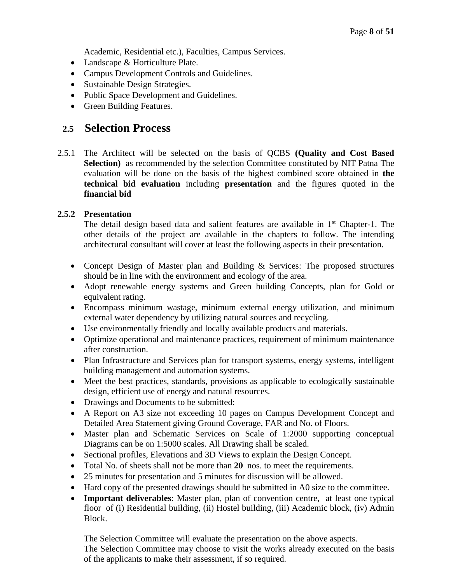Academic, Residential etc.), Faculties, Campus Services.

- Landscape & Horticulture Plate.
- Campus Development Controls and Guidelines.
- Sustainable Design Strategies.
- Public Space Development and Guidelines.
- Green Building Features.

# **2.5 Selection Process**

2.5.1 The Architect will be selected on the basis of QCBS **(Quality and Cost Based Selection)** as recommended by the selection Committee constituted by NIT Patna The evaluation will be done on the basis of the highest combined score obtained in **the technical bid evaluation** including **presentation** and the figures quoted in the **financial bid**

# **2.5.2 Presentation**

The detail design based data and salient features are available in  $1<sup>st</sup>$  Chapter-1. The other details of the project are available in the chapters to follow. The intending architectural consultant will cover at least the following aspects in their presentation.

- Concept Design of Master plan and Building & Services: The proposed structures should be in line with the environment and ecology of the area.
- Adopt renewable energy systems and Green building Concepts, plan for Gold or equivalent rating.
- Encompass minimum wastage, minimum external energy utilization, and minimum external water dependency by utilizing natural sources and recycling.
- Use environmentally friendly and locally available products and materials.
- Optimize operational and maintenance practices, requirement of minimum maintenance after construction.
- Plan Infrastructure and Services plan for transport systems, energy systems, intelligent building management and automation systems.
- Meet the best practices, standards, provisions as applicable to ecologically sustainable design, efficient use of energy and natural resources.
- Drawings and Documents to be submitted:
- A Report on A3 size not exceeding 10 pages on Campus Development Concept and Detailed Area Statement giving Ground Coverage, FAR and No. of Floors.
- Master plan and Schematic Services on Scale of 1:2000 supporting conceptual Diagrams can be on 1:5000 scales. All Drawing shall be scaled.
- Sectional profiles, Elevations and 3D Views to explain the Design Concept.
- Total No. of sheets shall not be more than **20** nos. to meet the requirements.
- 25 minutes for presentation and 5 minutes for discussion will be allowed.
- Hard copy of the presented drawings should be submitted in A0 size to the committee.
- **Important deliverables**: Master plan, plan of convention centre, at least one typical floor of (i) Residential building, (ii) Hostel building, (iii) Academic block, (iv) Admin Block.

The Selection Committee will evaluate the presentation on the above aspects. The Selection Committee may choose to visit the works already executed on the basis of the applicants to make their assessment, if so required.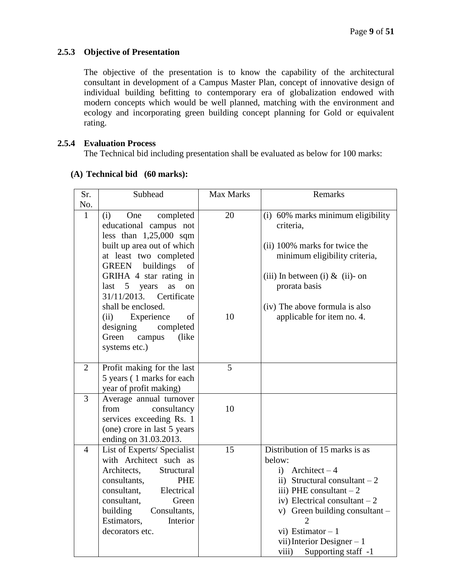# **2.5.3 Objective of Presentation**

The objective of the presentation is to know the capability of the architectural consultant in development of a Campus Master Plan, concept of innovative design of individual building befitting to contemporary era of globalization endowed with modern concepts which would be well planned, matching with the environment and ecology and incorporating green building concept planning for Gold or equivalent rating.

#### **2.5.4 Evaluation Process**

The Technical bid including presentation shall be evaluated as below for 100 marks:

| Sr.            | Subhead                                        | Max Marks | Remarks                           |
|----------------|------------------------------------------------|-----------|-----------------------------------|
| No.            |                                                |           |                                   |
| $\mathbf{1}$   | (i)<br>One<br>completed                        | 20        | (i) 60% marks minimum eligibility |
|                | educational campus not                         |           | criteria,                         |
|                | less than $1,25,000$ sqm                       |           |                                   |
|                | built up area out of which                     |           | (ii) 100% marks for twice the     |
|                | at least two completed                         |           | minimum eligibility criteria,     |
|                | GREEN buildings<br>of                          |           |                                   |
|                | GRIHA 4 star rating in                         |           | (iii) In between (i) & (ii)- on   |
|                | $last \quad 5$<br>years<br>as<br><sub>on</sub> |           | prorata basis                     |
|                | 31/11/2013. Certificate                        |           |                                   |
|                | shall be enclosed.                             |           | (iv) The above formula is also    |
|                | Experience<br>(ii)<br>of                       | 10        | applicable for item no. 4.        |
|                | designing<br>completed                         |           |                                   |
|                | Green<br>campus<br>(like)                      |           |                                   |
|                | systems etc.)                                  |           |                                   |
| 2              | Profit making for the last                     | 5         |                                   |
|                | 5 years (1 marks for each                      |           |                                   |
|                | year of profit making)                         |           |                                   |
| 3              | Average annual turnover                        |           |                                   |
|                | from<br>consultancy                            | 10        |                                   |
|                | services exceeding Rs. 1                       |           |                                   |
|                | (one) crore in last 5 years                    |           |                                   |
|                | ending on 31.03.2013.                          |           |                                   |
| $\overline{4}$ | List of Experts/ Specialist                    | 15        | Distribution of 15 marks is as    |
|                | with Architect such as                         |           | below:                            |
|                | Architects,<br>Structural                      |           | i) Architect $-4$                 |
|                | consultants,<br><b>PHE</b>                     |           | ii) Structural consultant $-2$    |
|                | consultant,<br>Electrical                      |           | iii) PHE consultant $-2$          |
|                | consultant,<br>Green                           |           | iv) Electrical consultant $-2$    |
|                | building<br>Consultants,                       |           | v) Green building consultant -    |
|                | Estimators,<br>Interior                        |           | $\overline{2}$                    |
|                | decorators etc.                                |           | vi) Estimator $-1$                |
|                |                                                |           | vii) Interior Designer $-1$       |
|                |                                                |           | Supporting staff -1<br>viii)      |

# **(A) Technical bid (60 marks):**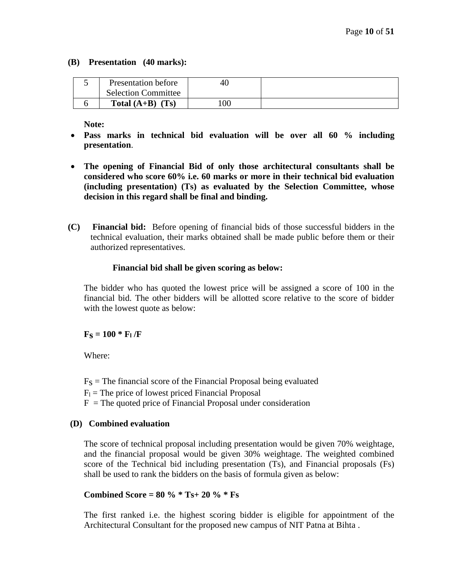#### **(B) Presentation (40 marks):**

| Presentation before        |     |  |
|----------------------------|-----|--|
| <b>Selection Committee</b> |     |  |
| Total $(A+B)$ (Ts)         | 100 |  |

**Note:** 

- **Pass marks in technical bid evaluation will be over all 60 % including presentation**.
- **The opening of Financial Bid of only those architectural consultants shall be considered who score 60% i.e. 60 marks or more in their technical bid evaluation (including presentation) (Ts) as evaluated by the Selection Committee, whose decision in this regard shall be final and binding.**
- **(C) Financial bid:** Before opening of financial bids of those successful bidders in the technical evaluation, their marks obtained shall be made public before them or their authorized representatives.

#### **Financial bid shall be given scoring as below:**

The bidder who has quoted the lowest price will be assigned a score of 100 in the financial bid. The other bidders will be allotted score relative to the score of bidder with the lowest quote as below:

 $F_S = 100 * F_1/F$ 

Where:

 $F<sub>S</sub>$  = The financial score of the Financial Proposal being evaluated

- $F_1$  = The price of lowest priced Financial Proposal
- $F =$ The quoted price of Financial Proposal under consideration

# **(D) Combined evaluation**

The score of technical proposal including presentation would be given 70% weightage, and the financial proposal would be given 30% weightage. The weighted combined score of the Technical bid including presentation (Ts), and Financial proposals (Fs) shall be used to rank the bidders on the basis of formula given as below:

# **Combined Score = 80 % \* Ts+ 20 % \* Fs**

The first ranked i.e. the highest scoring bidder is eligible for appointment of the Architectural Consultant for the proposed new campus of NIT Patna at Bihta .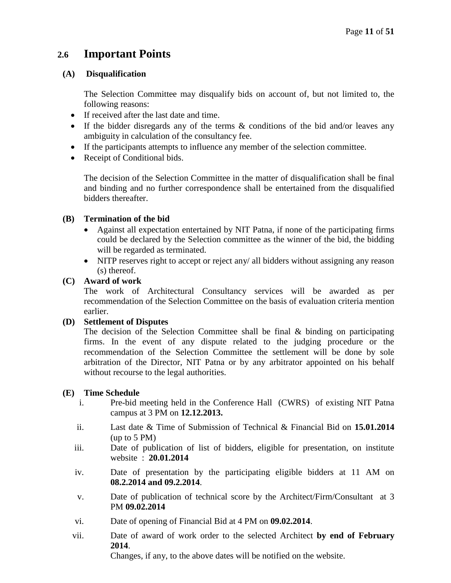# **2.6 Important Points**

# **(A) Disqualification**

The Selection Committee may disqualify bids on account of, but not limited to, the following reasons:

- If received after the last date and time.
- If the bidder disregards any of the terms & conditions of the bid and/or leaves any ambiguity in calculation of the consultancy fee.
- If the participants attempts to influence any member of the selection committee.
- Receipt of Conditional bids.

The decision of the Selection Committee in the matter of disqualification shall be final and binding and no further correspondence shall be entertained from the disqualified bidders thereafter.

# **(B) Termination of the bid**

- Against all expectation entertained by NIT Patna, if none of the participating firms could be declared by the Selection committee as the winner of the bid, the bidding will be regarded as terminated.
- NITP reserves right to accept or reject any/ all bidders without assigning any reason (s) thereof.

# **(C) Award of work**

The work of Architectural Consultancy services will be awarded as per recommendation of the Selection Committee on the basis of evaluation criteria mention earlier.

# **(D) Settlement of Disputes**

The decision of the Selection Committee shall be final & binding on participating firms. In the event of any dispute related to the judging procedure or the recommendation of the Selection Committee the settlement will be done by sole arbitration of the Director, NIT Patna or by any arbitrator appointed on his behalf without recourse to the legal authorities.

# **(E) Time Schedule**

- i. Pre-bid meeting held in the Conference Hall (CWRS) of existing NIT Patna campus at 3 PM on **12.12.2013.**
- ii. Last date & Time of Submission of Technical & Financial Bid on **15.01.2014** (up to 5 PM)
- iii. Date of publication of list of bidders, eligible for presentation, on institute website : **20.01.2014**
- iv. Date of presentation by the participating eligible bidders at 11 AM on **08.2.2014 and 09.2.2014**.
- v. Date of publication of technical score by the Architect/Firm/Consultant at 3 PM **09.02.2014**
- vi. Date of opening of Financial Bid at 4 PM on **09.02.2014**.
- vii. Date of award of work order to the selected Architect **by end of February 2014**.

Changes, if any, to the above dates will be notified on the website.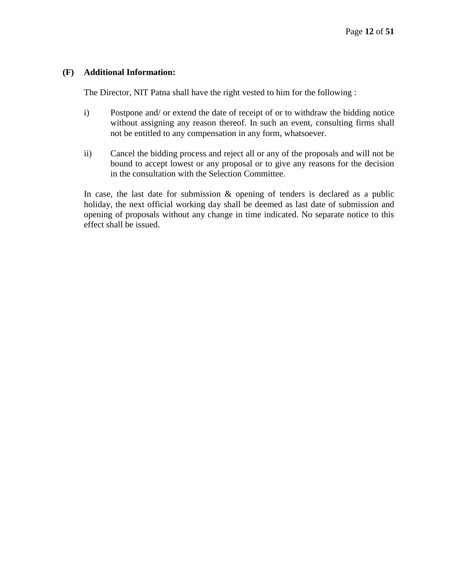#### **(F) Additional Information:**

The Director, NIT Patna shall have the right vested to him for the following :

- i) Postpone and/ or extend the date of receipt of or to withdraw the bidding notice without assigning any reason thereof. In such an event, consulting firms shall not be entitled to any compensation in any form, whatsoever.
- ii) Cancel the bidding process and reject all or any of the proposals and will not be bound to accept lowest or any proposal or to give any reasons for the decision in the consultation with the Selection Committee.

In case, the last date for submission  $\&$  opening of tenders is declared as a public holiday, the next official working day shall be deemed as last date of submission and opening of proposals without any change in time indicated. No separate notice to this effect shall be issued.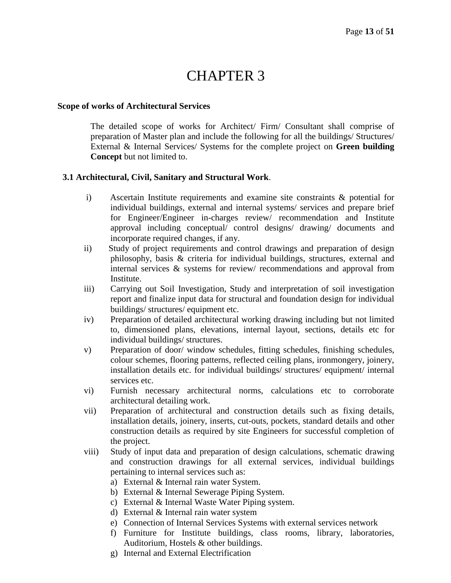# CHAPTER 3

#### **Scope of works of Architectural Services**

The detailed scope of works for Architect/ Firm/ Consultant shall comprise of preparation of Master plan and include the following for all the buildings/ Structures/ External & Internal Services/ Systems for the complete project on **Green building Concept** but not limited to.

#### **3.1 Architectural, Civil, Sanitary and Structural Work**.

- i) Ascertain Institute requirements and examine site constraints & potential for individual buildings, external and internal systems/ services and prepare brief for Engineer/Engineer in-charges review/ recommendation and Institute approval including conceptual/ control designs/ drawing/ documents and incorporate required changes, if any.
- ii) Study of project requirements and control drawings and preparation of design philosophy, basis & criteria for individual buildings, structures, external and internal services & systems for review/ recommendations and approval from Institute.
- iii) Carrying out Soil Investigation, Study and interpretation of soil investigation report and finalize input data for structural and foundation design for individual buildings/ structures/ equipment etc.
- iv) Preparation of detailed architectural working drawing including but not limited to, dimensioned plans, elevations, internal layout, sections, details etc for individual buildings/ structures.
- v) Preparation of door/ window schedules, fitting schedules, finishing schedules, colour schemes, flooring patterns, reflected ceiling plans, ironmongery, joinery, installation details etc. for individual buildings/ structures/ equipment/ internal services etc.
- vi) Furnish necessary architectural norms, calculations etc to corroborate architectural detailing work.
- vii) Preparation of architectural and construction details such as fixing details, installation details, joinery, inserts, cut-outs, pockets, standard details and other construction details as required by site Engineers for successful completion of the project.
- viii) Study of input data and preparation of design calculations, schematic drawing and construction drawings for all external services, individual buildings pertaining to internal services such as:
	- a) External & Internal rain water System.
	- b) External & Internal Sewerage Piping System.
	- c) External & Internal Waste Water Piping system.
	- d) External & Internal rain water system
	- e) Connection of Internal Services Systems with external services network
	- f) Furniture for Institute buildings, class rooms, library, laboratories, Auditorium, Hostels & other buildings.
	- g) Internal and External Electrification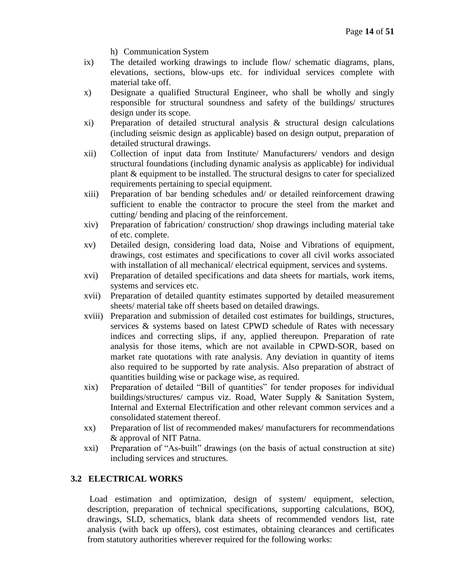- h) Communication System
- ix) The detailed working drawings to include flow/ schematic diagrams, plans, elevations, sections, blow-ups etc. for individual services complete with material take off.
- x) Designate a qualified Structural Engineer, who shall be wholly and singly responsible for structural soundness and safety of the buildings/ structures design under its scope.
- xi) Preparation of detailed structural analysis & structural design calculations (including seismic design as applicable) based on design output, preparation of detailed structural drawings.
- xii) Collection of input data from Institute/ Manufacturers/ vendors and design structural foundations (including dynamic analysis as applicable) for individual plant & equipment to be installed. The structural designs to cater for specialized requirements pertaining to special equipment.
- xiii) Preparation of bar bending schedules and/ or detailed reinforcement drawing sufficient to enable the contractor to procure the steel from the market and cutting/ bending and placing of the reinforcement.
- xiv) Preparation of fabrication/ construction/ shop drawings including material take of etc. complete.
- xv) Detailed design, considering load data, Noise and Vibrations of equipment, drawings, cost estimates and specifications to cover all civil works associated with installation of all mechanical/ electrical equipment, services and systems.
- xvi) Preparation of detailed specifications and data sheets for martials, work items, systems and services etc.
- xvii) Preparation of detailed quantity estimates supported by detailed measurement sheets/ material take off sheets based on detailed drawings.
- xviii) Preparation and submission of detailed cost estimates for buildings, structures, services & systems based on latest CPWD schedule of Rates with necessary indices and correcting slips, if any, applied thereupon. Preparation of rate analysis for those items, which are not available in CPWD-SOR, based on market rate quotations with rate analysis. Any deviation in quantity of items also required to be supported by rate analysis. Also preparation of abstract of quantities building wise or package wise, as required.
- xix) Preparation of detailed "Bill of quantities" for tender proposes for individual buildings/structures/ campus viz. Road, Water Supply & Sanitation System, Internal and External Electrification and other relevant common services and a consolidated statement thereof.
- xx) Preparation of list of recommended makes/ manufacturers for recommendations & approval of NIT Patna.
- xxi) Preparation of "As-built" drawings (on the basis of actual construction at site) including services and structures.

# **3.2 ELECTRICAL WORKS**

Load estimation and optimization, design of system/ equipment, selection, description, preparation of technical specifications, supporting calculations, BOQ, drawings, SLD, schematics, blank data sheets of recommended vendors list, rate analysis (with back up offers), cost estimates, obtaining clearances and certificates from statutory authorities wherever required for the following works: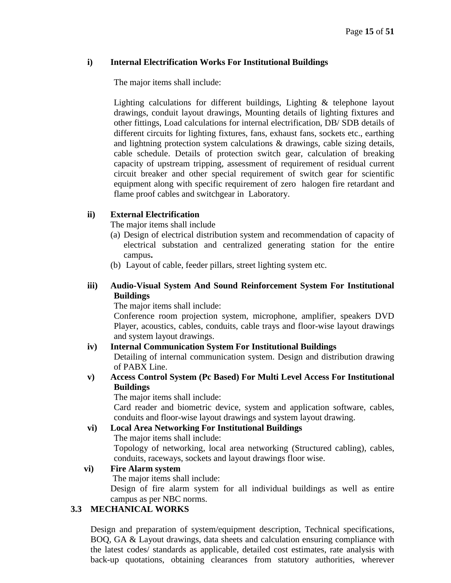#### **i) Internal Electrification Works For Institutional Buildings**

The major items shall include:

Lighting calculations for different buildings, Lighting & telephone layout drawings, conduit layout drawings, Mounting details of lighting fixtures and other fittings, Load calculations for internal electrification, DB/ SDB details of different circuits for lighting fixtures, fans, exhaust fans, sockets etc., earthing and lightning protection system calculations & drawings, cable sizing details, cable schedule. Details of protection switch gear, calculation of breaking capacity of upstream tripping, assessment of requirement of residual current circuit breaker and other special requirement of switch gear for scientific equipment along with specific requirement of zero halogen fire retardant and flame proof cables and switchgear in Laboratory.

# **ii) External Electrification**

The major items shall include

- (a) Design of electrical distribution system and recommendation of capacity of electrical substation and centralized generating station for the entire campus**.**
- (b) Layout of cable, feeder pillars, street lighting system etc.

#### **iii) Audio-Visual System And Sound Reinforcement System For Institutional Buildings**

The major items shall include:

Conference room projection system, microphone, amplifier, speakers DVD Player, acoustics, cables, conduits, cable trays and floor-wise layout drawings and system layout drawings.

# **iv) Internal Communication System For Institutional Buildings**

Detailing of internal communication system. Design and distribution drawing of PABX Line.

#### **v) Access Control System (Pc Based) For Multi Level Access For Institutional Buildings**

The major items shall include:

Card reader and biometric device, system and application software, cables, conduits and floor-wise layout drawings and system layout drawing.

# **vi) Local Area Networking For Institutional Buildings**

The major items shall include:

Topology of networking, local area networking (Structured cabling), cables, conduits, raceways, sockets and layout drawings floor wise.

# **vi) Fire Alarm system**

The major items shall include:

Design of fire alarm system for all individual buildings as well as entire campus as per NBC norms.

# **3.3 MECHANICAL WORKS**

Design and preparation of system/equipment description, Technical specifications, BOQ, GA & Layout drawings, data sheets and calculation ensuring compliance with the latest codes/ standards as applicable, detailed cost estimates, rate analysis with back-up quotations, obtaining clearances from statutory authorities, wherever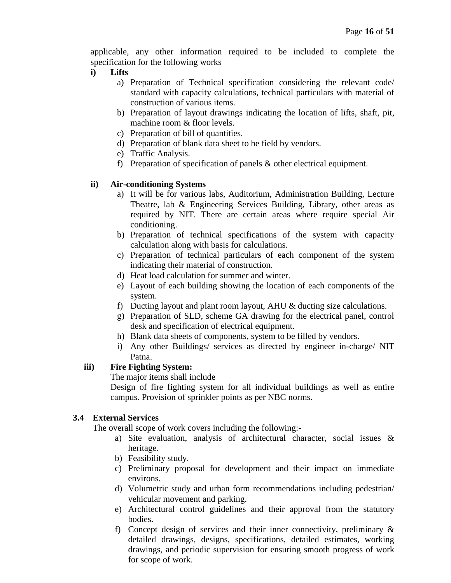applicable, any other information required to be included to complete the specification for the following works

- **i) Lifts**
	- a) Preparation of Technical specification considering the relevant code/ standard with capacity calculations, technical particulars with material of construction of various items.
	- b) Preparation of layout drawings indicating the location of lifts, shaft, pit, machine room & floor levels.
	- c) Preparation of bill of quantities.
	- d) Preparation of blank data sheet to be field by vendors.
	- e) Traffic Analysis.
	- f) Preparation of specification of panels & other electrical equipment.

#### **ii) Air-conditioning Systems**

- a) It will be for various labs, Auditorium, Administration Building, Lecture Theatre, lab & Engineering Services Building, Library, other areas as required by NIT. There are certain areas where require special Air conditioning.
- b) Preparation of technical specifications of the system with capacity calculation along with basis for calculations.
- c) Preparation of technical particulars of each component of the system indicating their material of construction.
- d) Heat load calculation for summer and winter.
- e) Layout of each building showing the location of each components of the system.
- f) Ducting layout and plant room layout, AHU & ducting size calculations.
- g) Preparation of SLD, scheme GA drawing for the electrical panel, control desk and specification of electrical equipment.
- h) Blank data sheets of components, system to be filled by vendors.
- i) Any other Buildings/ services as directed by engineer in-charge/ NIT Patna.

# **iii) Fire Fighting System:**

The major items shall include

Design of fire fighting system for all individual buildings as well as entire campus. Provision of sprinkler points as per NBC norms.

#### **3.4 External Services**

The overall scope of work covers including the following:-

- a) Site evaluation, analysis of architectural character, social issues & heritage.
- b) Feasibility study.
- c) Preliminary proposal for development and their impact on immediate environs.
- d) Volumetric study and urban form recommendations including pedestrian/ vehicular movement and parking.
- e) Architectural control guidelines and their approval from the statutory bodies.
- f) Concept design of services and their inner connectivity, preliminary & detailed drawings, designs, specifications, detailed estimates, working drawings, and periodic supervision for ensuring smooth progress of work for scope of work.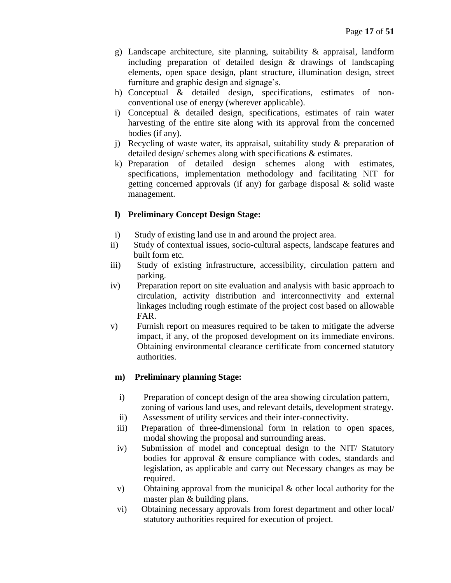- g) Landscape architecture, site planning, suitability & appraisal, landform including preparation of detailed design & drawings of landscaping elements, open space design, plant structure, illumination design, street furniture and graphic design and signage's.
- h) Conceptual & detailed design, specifications, estimates of nonconventional use of energy (wherever applicable).
- i) Conceptual & detailed design, specifications, estimates of rain water harvesting of the entire site along with its approval from the concerned bodies (if any).
- j) Recycling of waste water, its appraisal, suitability study  $\&$  preparation of detailed design/ schemes along with specifications & estimates.
- k) Preparation of detailed design schemes along with estimates, specifications, implementation methodology and facilitating NIT for getting concerned approvals (if any) for garbage disposal  $\&$  solid waste management.

# **l) Preliminary Concept Design Stage:**

- i) Study of existing land use in and around the project area.
- ii) Study of contextual issues, socio-cultural aspects, landscape features and built form etc.
- iii) Study of existing infrastructure, accessibility, circulation pattern and parking.
- iv) Preparation report on site evaluation and analysis with basic approach to circulation, activity distribution and interconnectivity and external linkages including rough estimate of the project cost based on allowable FAR.
- v) Furnish report on measures required to be taken to mitigate the adverse impact, if any, of the proposed development on its immediate environs. Obtaining environmental clearance certificate from concerned statutory authorities.

# **m) Preliminary planning Stage:**

- i) Preparation of concept design of the area showing circulation pattern, zoning of various land uses, and relevant details, development strategy.
- ii) Assessment of utility services and their inter-connectivity.
- iii) Preparation of three-dimensional form in relation to open spaces, modal showing the proposal and surrounding areas.
- iv) Submission of model and conceptual design to the NIT/ Statutory bodies for approval & ensure compliance with codes, standards and legislation, as applicable and carry out Necessary changes as may be required.
- v) Obtaining approval from the municipal & other local authority for the master plan & building plans.
- vi) Obtaining necessary approvals from forest department and other local/ statutory authorities required for execution of project.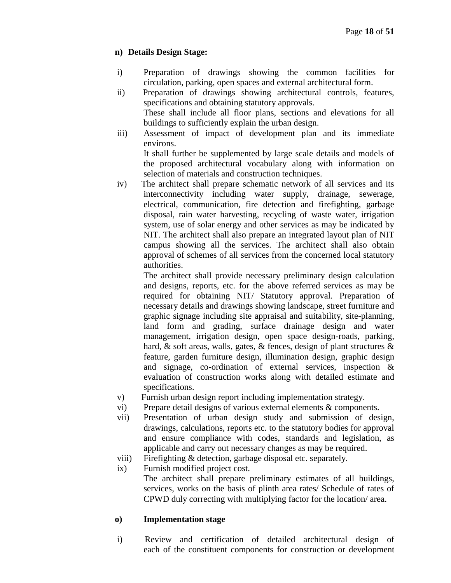# **n) Details Design Stage:**

- i) Preparation of drawings showing the common facilities for circulation, parking, open spaces and external architectural form.
- ii) Preparation of drawings showing architectural controls, features, specifications and obtaining statutory approvals. These shall include all floor plans, sections and elevations for all

buildings to sufficiently explain the urban design.

iii) Assessment of impact of development plan and its immediate environs.

It shall further be supplemented by large scale details and models of the proposed architectural vocabulary along with information on selection of materials and construction techniques.

iv) The architect shall prepare schematic network of all services and its interconnectivity including water supply, drainage, sewerage, electrical, communication, fire detection and firefighting, garbage disposal, rain water harvesting, recycling of waste water, irrigation system, use of solar energy and other services as may be indicated by NIT. The architect shall also prepare an integrated layout plan of NIT campus showing all the services. The architect shall also obtain approval of schemes of all services from the concerned local statutory authorities.

The architect shall provide necessary preliminary design calculation and designs, reports, etc. for the above referred services as may be required for obtaining NIT/ Statutory approval. Preparation of necessary details and drawings showing landscape, street furniture and graphic signage including site appraisal and suitability, site-planning, land form and grading, surface drainage design and water management, irrigation design, open space design-roads, parking, hard, & soft areas, walls, gates, & fences, design of plant structures & feature, garden furniture design, illumination design, graphic design and signage, co-ordination of external services, inspection & evaluation of construction works along with detailed estimate and specifications.

- v) Furnish urban design report including implementation strategy.
- vi) Prepare detail designs of various external elements & components.
- vii) Presentation of urban design study and submission of design, drawings, calculations, reports etc. to the statutory bodies for approval and ensure compliance with codes, standards and legislation, as applicable and carry out necessary changes as may be required.
- viii) Firefighting & detection, garbage disposal etc. separately.
- ix) Furnish modified project cost. The architect shall prepare preliminary estimates of all buildings, services, works on the basis of plinth area rates/ Schedule of rates of CPWD duly correcting with multiplying factor for the location/ area.

# **o) Implementation stage**

i) Review and certification of detailed architectural design of each of the constituent components for construction or development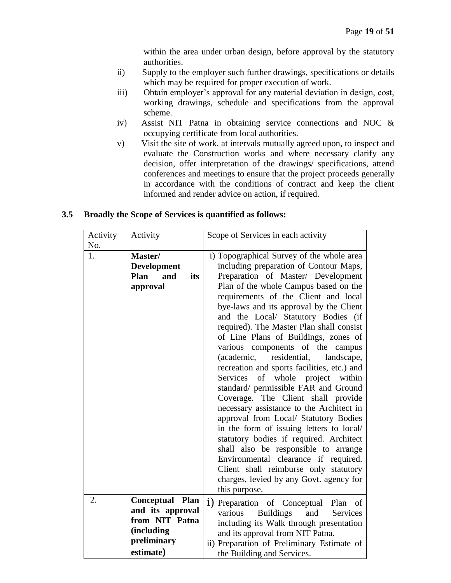within the area under urban design, before approval by the statutory authorities.

- ii) Supply to the employer such further drawings, specifications or details which may be required for proper execution of work.
- iii) Obtain employer's approval for any material deviation in design, cost, working drawings, schedule and specifications from the approval scheme.
- iv) Assist NIT Patna in obtaining service connections and NOC & occupying certificate from local authorities.
- v) Visit the site of work, at intervals mutually agreed upon, to inspect and evaluate the Construction works and where necessary clarify any decision, offer interpretation of the drawings/ specifications, attend conferences and meetings to ensure that the project proceeds generally in accordance with the conditions of contract and keep the client informed and render advice on action, if required.

| Activity<br>No. | Activity                                                                                        | Scope of Services in each activity                                                                                                                                                                                                                                                                                                                                                                                                                                                                                                                                                                                                                                                                                                                                                                                                                                                                                                                                                                          |
|-----------------|-------------------------------------------------------------------------------------------------|-------------------------------------------------------------------------------------------------------------------------------------------------------------------------------------------------------------------------------------------------------------------------------------------------------------------------------------------------------------------------------------------------------------------------------------------------------------------------------------------------------------------------------------------------------------------------------------------------------------------------------------------------------------------------------------------------------------------------------------------------------------------------------------------------------------------------------------------------------------------------------------------------------------------------------------------------------------------------------------------------------------|
| 1.              | Master/<br><b>Development</b><br>Plan<br>and<br>its<br>approval                                 | i) Topographical Survey of the whole area<br>including preparation of Contour Maps,<br>Preparation of Master/ Development<br>Plan of the whole Campus based on the<br>requirements of the Client and local<br>bye-laws and its approval by the Client<br>and the Local/ Statutory Bodies (if<br>required). The Master Plan shall consist<br>of Line Plans of Buildings, zones of<br>various components of the campus<br>residential,<br>(academic,<br>landscape,<br>recreation and sports facilities, etc.) and<br>Services<br>of<br>whole project<br>within<br>standard/ permissible FAR and Ground<br>Coverage. The Client shall provide<br>necessary assistance to the Architect in<br>approval from Local/ Statutory Bodies<br>in the form of issuing letters to local/<br>statutory bodies if required. Architect<br>shall also be responsible to arrange<br>Environmental clearance if required.<br>Client shall reimburse only statutory<br>charges, levied by any Govt. agency for<br>this purpose. |
| 2.              | Conceptual Plan<br>and its approval<br>from NIT Patna<br>(including<br>preliminary<br>estimate) | 1) Preparation of Conceptual Plan of<br><b>Buildings</b><br>and<br>various<br>Services<br>including its Walk through presentation<br>and its approval from NIT Patna.<br>ii) Preparation of Preliminary Estimate of<br>the Building and Services.                                                                                                                                                                                                                                                                                                                                                                                                                                                                                                                                                                                                                                                                                                                                                           |

#### **3.5 Broadly the Scope of Services is quantified as follows:**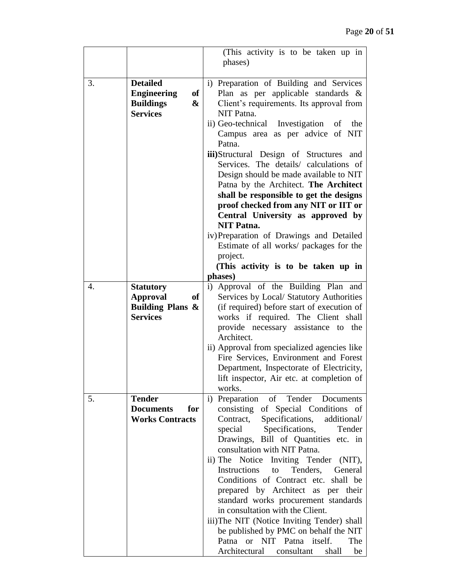|    |                                                                                                    | (This activity is to be taken up in                                                                                                                                                                                                                                                                                                                                                                                                                                                                                                                                                                                                                     |
|----|----------------------------------------------------------------------------------------------------|---------------------------------------------------------------------------------------------------------------------------------------------------------------------------------------------------------------------------------------------------------------------------------------------------------------------------------------------------------------------------------------------------------------------------------------------------------------------------------------------------------------------------------------------------------------------------------------------------------------------------------------------------------|
|    |                                                                                                    | phases)                                                                                                                                                                                                                                                                                                                                                                                                                                                                                                                                                                                                                                                 |
| 3. | <b>Detailed</b><br><b>Engineering</b><br>of<br><b>Buildings</b><br>&<br><b>Services</b>            | i) Preparation of Building and Services<br>Plan as per applicable standards $\&$<br>Client's requirements. Its approval from<br>NIT Patna.<br>ii) Geo-technical Investigation of<br>the<br>Campus area as per advice of NIT<br>Patna.<br><b>iii</b> )Structural Design of Structures<br>and<br>Services. The details/ calculations of<br>Design should be made available to NIT<br>Patna by the Architect. The Architect<br>shall be responsible to get the designs<br>proof checked from any NIT or IIT or<br>Central University as approved by<br><b>NIT Patna.</b>                                                                                   |
|    |                                                                                                    | iv) Preparation of Drawings and Detailed<br>Estimate of all works/ packages for the<br>project.<br>(This activity is to be taken up in<br>phases)                                                                                                                                                                                                                                                                                                                                                                                                                                                                                                       |
| 4. | <b>Statutory</b><br><b>Approval</b><br><b>of</b><br><b>Building Plans &amp;</b><br><b>Services</b> | i) Approval of the Building Plan and<br>Services by Local/ Statutory Authorities<br>(if required) before start of execution of<br>works if required. The Client shall<br>provide necessary assistance to the<br>Architect.<br>ii) Approval from specialized agencies like<br>Fire Services, Environment and Forest<br>Department, Inspectorate of Electricity,<br>lift inspector, Air etc. at completion of                                                                                                                                                                                                                                             |
| 5. | <b>Tender</b><br><b>Documents</b><br>for<br><b>Works Contracts</b>                                 | works.<br>i) Preparation of Tender Documents<br>consisting of Special Conditions of<br>Contract, Specifications,<br>additional/<br>special Specifications, Tender<br>Drawings, Bill of Quantities etc. in<br>consultation with NIT Patna.<br>ii) The Notice Inviting Tender (NIT),<br>Instructions to Tenders, General<br>Conditions of Contract etc. shall be<br>prepared by Architect as per their<br>standard works procurement standards<br>in consultation with the Client.<br>iii)The NIT (Notice Inviting Tender) shall<br>be published by PMC on behalf the NIT<br>Patna or NIT Patna itself.<br>The<br>Architectural consultant<br>shall<br>be |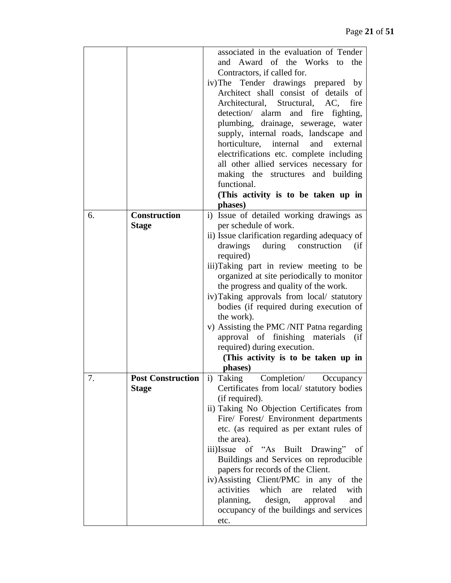|    |                          | associated in the evaluation of Tender        |
|----|--------------------------|-----------------------------------------------|
|    |                          | and Award of the Works to the                 |
|    |                          | Contractors, if called for.                   |
|    |                          | iv) The Tender drawings prepared by           |
|    |                          | Architect shall consist of details of         |
|    |                          | Architectural, Structural, AC,<br>fire        |
|    |                          | detection/ alarm and fire fighting,           |
|    |                          | plumbing, drainage, sewerage, water           |
|    |                          | supply, internal roads, landscape and         |
|    |                          | horticulture, internal<br>and<br>external     |
|    |                          | electrifications etc. complete including      |
|    |                          | all other allied services necessary for       |
|    |                          | making the structures and building            |
|    |                          | functional.                                   |
|    |                          | (This activity is to be taken up in           |
|    |                          | phases)                                       |
| 6. | <b>Construction</b>      | i) Issue of detailed working drawings as      |
|    | <b>Stage</b>             | per schedule of work.                         |
|    |                          | ii) Issue clarification regarding adequacy of |
|    |                          | during construction<br>drawings<br>(i f)      |
|    |                          | required)                                     |
|    |                          | iii)Taking part in review meeting to be       |
|    |                          | organized at site periodically to monitor     |
|    |                          | the progress and quality of the work.         |
|    |                          | iv) Taking approvals from local/ statutory    |
|    |                          | bodies (if required during execution of       |
|    |                          | the work).                                    |
|    |                          | v) Assisting the PMC /NIT Patna regarding     |
|    |                          | approval of finishing materials<br>$\int$     |
|    |                          | required) during execution.                   |
|    |                          | (This activity is to be taken up in           |
|    |                          | phases)                                       |
| 7. | <b>Post Construction</b> | i) Taking<br>Completion/<br>Occupancy         |
|    | <b>Stage</b>             | Certificates from local/ statutory bodies     |
|    |                          | (if required).                                |
|    |                          | ii) Taking No Objection Certificates from     |
|    |                          | Fire/ Forest/ Environment departments         |
|    |                          | etc. (as required as per extant rules of      |
|    |                          | the area).                                    |
|    |                          | iii)Issue of "As Built Drawing" of            |
|    |                          | Buildings and Services on reproducible        |
|    |                          | papers for records of the Client.             |
|    |                          | iv) Assisting Client/PMC in any of the        |
|    |                          | activities<br>which<br>related<br>with<br>are |
|    |                          | planning, design,<br>approval<br>and          |
|    |                          | occupancy of the buildings and services       |
|    |                          | etc.                                          |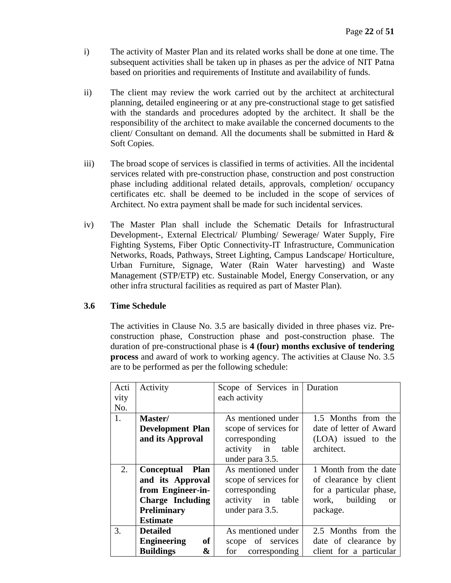- i) The activity of Master Plan and its related works shall be done at one time. The subsequent activities shall be taken up in phases as per the advice of NIT Patna based on priorities and requirements of Institute and availability of funds.
- ii) The client may review the work carried out by the architect at architectural planning, detailed engineering or at any pre-constructional stage to get satisfied with the standards and procedures adopted by the architect. It shall be the responsibility of the architect to make available the concerned documents to the client/ Consultant on demand. All the documents shall be submitted in Hard & Soft Copies.
- iii) The broad scope of services is classified in terms of activities. All the incidental services related with pre-construction phase, construction and post construction phase including additional related details, approvals, completion/ occupancy certificates etc. shall be deemed to be included in the scope of services of Architect. No extra payment shall be made for such incidental services.
- iv) The Master Plan shall include the Schematic Details for Infrastructural Development-, External Electrical/ Plumbing/ Sewerage/ Water Supply, Fire Fighting Systems, Fiber Optic Connectivity-IT Infrastructure, Communication Networks, Roads, Pathways, Street Lighting, Campus Landscape/ Horticulture, Urban Furniture, Signage, Water (Rain Water harvesting) and Waste Management (STP/ETP) etc. Sustainable Model, Energy Conservation, or any other infra structural facilities as required as part of Master Plan).

# **3.6 Time Schedule**

The activities in Clause No. 3.5 are basically divided in three phases viz. Preconstruction phase, Construction phase and post-construction phase. The duration of pre-constructional phase is **4 (four) months exclusive of tendering process** and award of work to working agency. The activities at Clause No. 3.5 are to be performed as per the following schedule:

| Acti | Activity                        | Scope of Services in  | Duration                    |  |
|------|---------------------------------|-----------------------|-----------------------------|--|
| vity |                                 | each activity         |                             |  |
| No.  |                                 |                       |                             |  |
| 1.   | Master/                         | As mentioned under    | 1.5 Months from the         |  |
|      | <b>Development Plan</b>         | scope of services for | date of letter of Award     |  |
|      | and its Approval                | corresponding         | (LOA) issued to the         |  |
|      |                                 | activity in<br>table  | architect.                  |  |
|      |                                 | under para 3.5.       |                             |  |
| 2.   | <b>Conceptual Plan</b>          | As mentioned under    | 1 Month from the date       |  |
|      | and its Approval                | scope of services for | of clearance by client      |  |
|      | from Engineer-in-               | corresponding         | for a particular phase,     |  |
|      | <b>Charge Including</b>         | activity in table     | work, building<br><b>or</b> |  |
|      | <b>Preliminary</b>              | under para 3.5.       | package.                    |  |
|      | <b>Estimate</b>                 |                       |                             |  |
| 3.   | <b>Detailed</b>                 | As mentioned under    | 2.5 Months from the         |  |
|      | <b>Engineering</b><br><b>of</b> | scope of services     | date of clearance by        |  |
|      | <b>Buildings</b><br>&           | for<br>corresponding  | client for a particular     |  |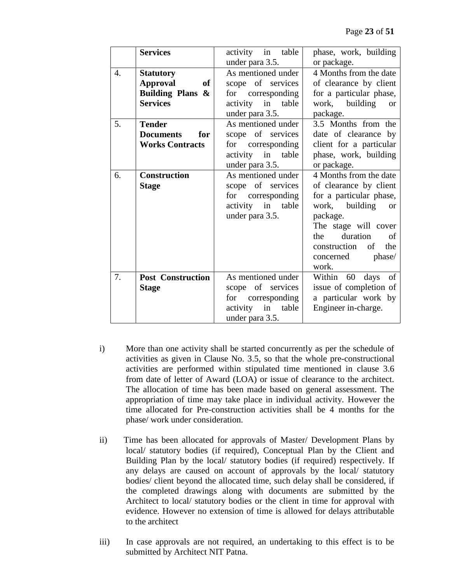|    | <b>Services</b>          | activity in table  | phase, work, building       |  |  |
|----|--------------------------|--------------------|-----------------------------|--|--|
|    |                          | under para 3.5.    | or package.                 |  |  |
| 4. | <b>Statutory</b>         | As mentioned under | 4 Months from the date      |  |  |
|    | <b>Approval</b><br>of    | scope of services  | of clearance by client      |  |  |
|    | Building Plans &         | for corresponding  | for a particular phase,     |  |  |
|    | <b>Services</b>          | activity in table  | work, building<br><b>or</b> |  |  |
|    |                          | under para 3.5.    | package.                    |  |  |
| 5. | <b>Tender</b>            | As mentioned under | 3.5 Months from the         |  |  |
|    | <b>Documents</b><br>for  | scope of services  | date of clearance by        |  |  |
|    | <b>Works Contracts</b>   | for corresponding  | client for a particular     |  |  |
|    |                          | activity in table  | phase, work, building       |  |  |
|    |                          | under para 3.5.    | or package.                 |  |  |
| 6. | <b>Construction</b>      | As mentioned under | 4 Months from the date      |  |  |
|    | <b>Stage</b>             | scope of services  | of clearance by client      |  |  |
|    |                          | for corresponding  | for a particular phase,     |  |  |
|    |                          | activity in table  | work, building<br><b>or</b> |  |  |
|    |                          | under para 3.5.    | package.                    |  |  |
|    |                          |                    | The stage will cover        |  |  |
|    |                          |                    | duration<br>the<br>of       |  |  |
|    |                          |                    | construction<br>of<br>the   |  |  |
|    |                          |                    | concerned phase/            |  |  |
|    |                          |                    | work.                       |  |  |
| 7. | <b>Post Construction</b> | As mentioned under | Within 60 days of           |  |  |
|    | <b>Stage</b>             | scope of services  | issue of completion of      |  |  |
|    |                          | for corresponding  | a particular work by        |  |  |
|    |                          | activity in table  | Engineer in-charge.         |  |  |
|    |                          | under para 3.5.    |                             |  |  |

- i) More than one activity shall be started concurrently as per the schedule of activities as given in Clause No. 3.5, so that the whole pre-constructional activities are performed within stipulated time mentioned in clause 3.6 from date of letter of Award (LOA) or issue of clearance to the architect. The allocation of time has been made based on general assessment. The appropriation of time may take place in individual activity. However the time allocated for Pre-construction activities shall be 4 months for the phase/ work under consideration.
- ii) Time has been allocated for approvals of Master/ Development Plans by local/ statutory bodies (if required), Conceptual Plan by the Client and Building Plan by the local/ statutory bodies (if required) respectively. If any delays are caused on account of approvals by the local/ statutory bodies/ client beyond the allocated time, such delay shall be considered, if the completed drawings along with documents are submitted by the Architect to local/ statutory bodies or the client in time for approval with evidence. However no extension of time is allowed for delays attributable to the architect
- iii) In case approvals are not required, an undertaking to this effect is to be submitted by Architect NIT Patna.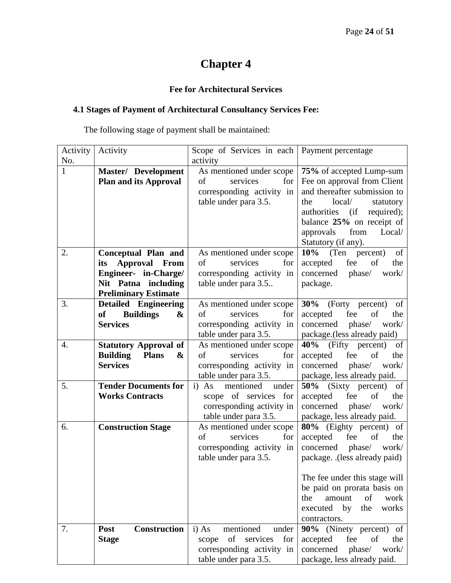# **Fee for Architectural Services**

# **4.1 Stages of Payment of Architectural Consultancy Services Fee:**

The following stage of payment shall be maintained:

| Activity | Activity                             | Scope of Services in each      | Payment percentage                 |
|----------|--------------------------------------|--------------------------------|------------------------------------|
| No.      |                                      | activity                       |                                    |
| 1        | <b>Master/ Development</b>           | As mentioned under scope       | 75% of accepted Lump-sum           |
|          | <b>Plan and its Approval</b>         | of<br>services<br>for          | Fee on approval from Client        |
|          |                                      | corresponding activity in      | and thereafter submission to       |
|          |                                      | table under para 3.5.          | local/<br>the<br>statutory         |
|          |                                      |                                | required);<br>authorities<br>(i f) |
|          |                                      |                                | balance 25% on receipt of          |
|          |                                      |                                | from<br>approvals<br>Local/        |
|          |                                      |                                | Statutory (if any).                |
| 2.       | <b>Conceptual Plan and</b>           | As mentioned under scope       | 10%<br>(Ten<br>percent)<br>of      |
|          | <b>Approval</b> From<br>its          | of<br>services<br>for          | fee<br>of<br>accepted<br>the       |
|          | Engineer- in-Charge/                 | corresponding activity in      | concerned<br>phase/<br>work/       |
|          | Nit Patna including                  | table under para 3.5           | package.                           |
|          | <b>Preliminary Estimate</b>          |                                |                                    |
| 3.       | <b>Detailed Engineering</b>          | As mentioned under scope       | 30%<br>(Forty percent)<br>of       |
|          | <b>Buildings</b><br>of<br>&          | of<br>services<br>for          | accepted<br>fee<br>of<br>the       |
|          | <b>Services</b>                      | corresponding activity in      | concerned<br>phase/<br>work/       |
|          |                                      | table under para 3.5.          | package.(less already paid)        |
| 4.       | <b>Statutory Approval of</b>         | As mentioned under scope       | 40%<br>(Fifty percent)<br>of       |
|          | <b>Building</b><br><b>Plans</b><br>& | of<br>services<br>for          | accepted<br>of<br>fee<br>the       |
|          | <b>Services</b>                      | corresponding activity in      | phase/<br>concerned<br>work/       |
|          |                                      | table under para 3.5.          | package, less already paid.        |
| 5.       | <b>Tender Documents for</b>          | mentioned<br>i) As<br>under    | 50% (Sixty percent)<br>of          |
|          | <b>Works Contracts</b>               | scope of services for          | accepted<br>fee<br>of<br>the       |
|          |                                      | corresponding activity in      | concerned<br>phase/<br>work/       |
|          |                                      | table under para 3.5.          | package, less already paid.        |
| 6.       | <b>Construction Stage</b>            | As mentioned under scope       | 80% (Eighty percent) of            |
|          |                                      | of<br>services<br>for          | accepted<br>fee<br>of<br>the       |
|          |                                      | corresponding activity in      | concerned<br>phase/<br>work/       |
|          |                                      | table under para 3.5.          | package. .(less already paid)      |
|          |                                      |                                |                                    |
|          |                                      |                                | The fee under this stage will      |
|          |                                      |                                | be paid on prorata basis on        |
|          |                                      |                                | the<br>work<br>amount<br>of        |
|          |                                      |                                | by<br>executed<br>the<br>works     |
|          |                                      |                                | contractors.                       |
| 7.       | <b>Construction</b><br>Post          | mentioned<br>i) As<br>under    | 90% (Ninety percent) of            |
|          | <b>Stage</b>                         | of<br>services<br>for<br>scope | fee<br>of<br>accepted<br>the       |
|          |                                      | corresponding activity in      | phase/<br>concerned<br>work/       |
|          |                                      | table under para 3.5.          | package, less already paid.        |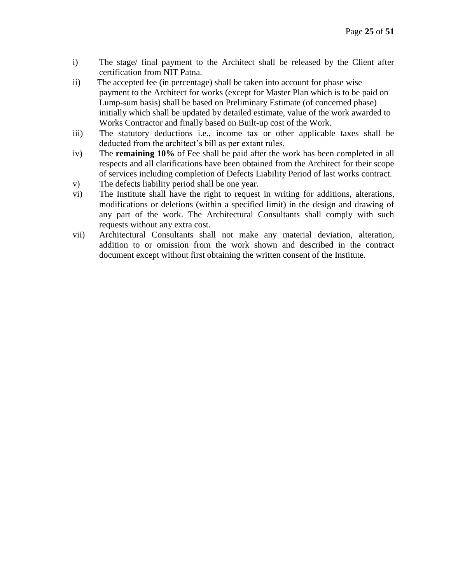- i) The stage/ final payment to the Architect shall be released by the Client after certification from NIT Patna.
- ii) The accepted fee (in percentage) shall be taken into account for phase wise payment to the Architect for works (except for Master Plan which is to be paid on Lump-sum basis) shall be based on Preliminary Estimate (of concerned phase) initially which shall be updated by detailed estimate, value of the work awarded to Works Contractor and finally based on Built-up cost of the Work.
- iii) The statutory deductions i.e., income tax or other applicable taxes shall be deducted from the architect's bill as per extant rules.
- iv) The **remaining 10%** of Fee shall be paid after the work has been completed in all respects and all clarifications have been obtained from the Architect for their scope of services including completion of Defects Liability Period of last works contract.
- v) The defects liability period shall be one year.
- vi) The Institute shall have the right to request in writing for additions, alterations, modifications or deletions (within a specified limit) in the design and drawing of any part of the work. The Architectural Consultants shall comply with such requests without any extra cost.
- vii) Architectural Consultants shall not make any material deviation, alteration, addition to or omission from the work shown and described in the contract document except without first obtaining the written consent of the Institute.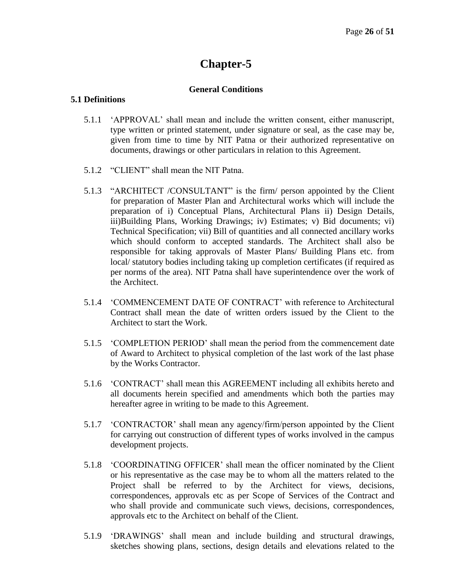#### **General Conditions**

#### **5.1 Definitions**

- 5.1.1 'APPROVAL' shall mean and include the written consent, either manuscript, type written or printed statement, under signature or seal, as the case may be, given from time to time by NIT Patna or their authorized representative on documents, drawings or other particulars in relation to this Agreement.
- 5.1.2 "CLIENT" shall mean the NIT Patna.
- 5.1.3 "ARCHITECT /CONSULTANT" is the firm/ person appointed by the Client for preparation of Master Plan and Architectural works which will include the preparation of i) Conceptual Plans, Architectural Plans ii) Design Details, iii)Building Plans, Working Drawings; iv) Estimates; v) Bid documents; vi) Technical Specification; vii) Bill of quantities and all connected ancillary works which should conform to accepted standards. The Architect shall also be responsible for taking approvals of Master Plans/ Building Plans etc. from local/ statutory bodies including taking up completion certificates (if required as per norms of the area). NIT Patna shall have superintendence over the work of the Architect.
- 5.1.4 'COMMENCEMENT DATE OF CONTRACT' with reference to Architectural Contract shall mean the date of written orders issued by the Client to the Architect to start the Work.
- 5.1.5 'COMPLETION PERIOD' shall mean the period from the commencement date of Award to Architect to physical completion of the last work of the last phase by the Works Contractor.
- 5.1.6 'CONTRACT' shall mean this AGREEMENT including all exhibits hereto and all documents herein specified and amendments which both the parties may hereafter agree in writing to be made to this Agreement.
- 5.1.7 'CONTRACTOR' shall mean any agency/firm/person appointed by the Client for carrying out construction of different types of works involved in the campus development projects.
- 5.1.8 'COORDINATING OFFICER' shall mean the officer nominated by the Client or his representative as the case may be to whom all the matters related to the Project shall be referred to by the Architect for views, decisions, correspondences, approvals etc as per Scope of Services of the Contract and who shall provide and communicate such views, decisions, correspondences, approvals etc to the Architect on behalf of the Client.
- 5.1.9 'DRAWINGS' shall mean and include building and structural drawings, sketches showing plans, sections, design details and elevations related to the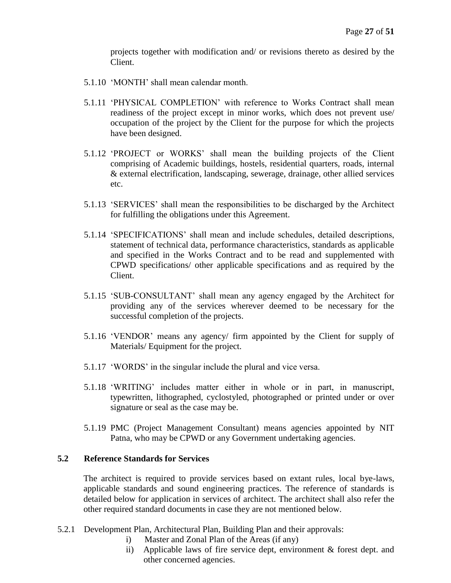projects together with modification and/ or revisions thereto as desired by the Client.

- 5.1.10 'MONTH' shall mean calendar month.
- 5.1.11 'PHYSICAL COMPLETION' with reference to Works Contract shall mean readiness of the project except in minor works, which does not prevent use/ occupation of the project by the Client for the purpose for which the projects have been designed.
- 5.1.12 'PROJECT or WORKS' shall mean the building projects of the Client comprising of Academic buildings, hostels, residential quarters, roads, internal & external electrification, landscaping, sewerage, drainage, other allied services etc.
- 5.1.13 'SERVICES' shall mean the responsibilities to be discharged by the Architect for fulfilling the obligations under this Agreement.
- 5.1.14 'SPECIFICATIONS' shall mean and include schedules, detailed descriptions, statement of technical data, performance characteristics, standards as applicable and specified in the Works Contract and to be read and supplemented with CPWD specifications/ other applicable specifications and as required by the Client.
- 5.1.15 'SUB-CONSULTANT' shall mean any agency engaged by the Architect for providing any of the services wherever deemed to be necessary for the successful completion of the projects.
- 5.1.16 'VENDOR' means any agency/ firm appointed by the Client for supply of Materials/ Equipment for the project.
- 5.1.17 'WORDS' in the singular include the plural and vice versa.
- 5.1.18 'WRITING' includes matter either in whole or in part, in manuscript, typewritten, lithographed, cyclostyled, photographed or printed under or over signature or seal as the case may be.
- 5.1.19 PMC (Project Management Consultant) means agencies appointed by NIT Patna, who may be CPWD or any Government undertaking agencies.

# **5.2 Reference Standards for Services**

The architect is required to provide services based on extant rules, local bye-laws, applicable standards and sound engineering practices. The reference of standards is detailed below for application in services of architect. The architect shall also refer the other required standard documents in case they are not mentioned below.

- 5.2.1 Development Plan, Architectural Plan, Building Plan and their approvals:
	- i) Master and Zonal Plan of the Areas (if any)
	- ii) Applicable laws of fire service dept, environment & forest dept. and other concerned agencies.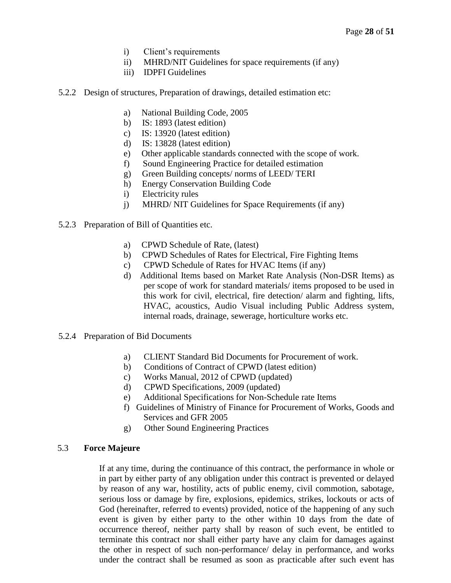- i) Client's requirements
- ii) MHRD/NIT Guidelines for space requirements (if any)
- iii) IDPFI Guidelines
- 5.2.2 Design of structures, Preparation of drawings, detailed estimation etc:
	- a) National Building Code, 2005
	- b) IS: 1893 (latest edition)
	- c) IS: 13920 (latest edition)
	- d) IS: 13828 (latest edition)
	- e) Other applicable standards connected with the scope of work.
	- f) Sound Engineering Practice for detailed estimation
	- g) Green Building concepts/ norms of LEED/ TERI
	- h) Energy Conservation Building Code
	- i) Electricity rules
	- j) MHRD/ NIT Guidelines for Space Requirements (if any)
- 5.2.3 Preparation of Bill of Quantities etc.
	- a) CPWD Schedule of Rate, (latest)
	- b) CPWD Schedules of Rates for Electrical, Fire Fighting Items
	- c) CPWD Schedule of Rates for HVAC Items (if any)
	- d) Additional Items based on Market Rate Analysis (Non-DSR Items) as per scope of work for standard materials/ items proposed to be used in this work for civil, electrical, fire detection/ alarm and fighting, lifts, HVAC, acoustics, Audio Visual including Public Address system, internal roads, drainage, sewerage, horticulture works etc.
- 5.2.4 Preparation of Bid Documents
	- a) CLIENT Standard Bid Documents for Procurement of work.
	- b) Conditions of Contract of CPWD (latest edition)
	- c) Works Manual, 2012 of CPWD (updated)
	- d) CPWD Specifications, 2009 (updated)
	- e) Additional Specifications for Non-Schedule rate Items
	- f) Guidelines of Ministry of Finance for Procurement of Works, Goods and Services and GFR 2005
	- g) Other Sound Engineering Practices

# 5.3 **Force Majeure**

If at any time, during the continuance of this contract, the performance in whole or in part by either party of any obligation under this contract is prevented or delayed by reason of any war, hostility, acts of public enemy, civil commotion, sabotage, serious loss or damage by fire, explosions, epidemics, strikes, lockouts or acts of God (hereinafter, referred to events) provided, notice of the happening of any such event is given by either party to the other within 10 days from the date of occurrence thereof, neither party shall by reason of such event, be entitled to terminate this contract nor shall either party have any claim for damages against the other in respect of such non-performance/ delay in performance, and works under the contract shall be resumed as soon as practicable after such event has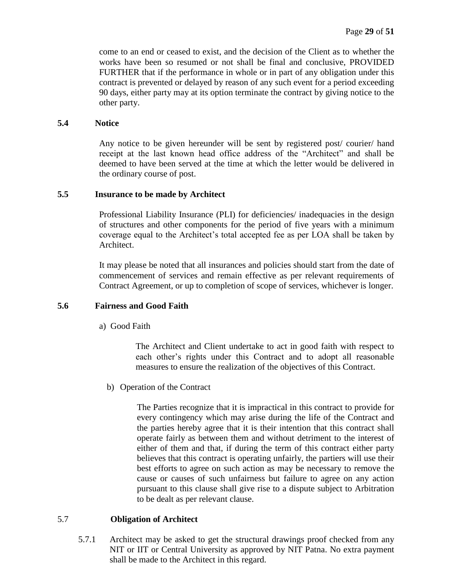come to an end or ceased to exist, and the decision of the Client as to whether the works have been so resumed or not shall be final and conclusive, PROVIDED FURTHER that if the performance in whole or in part of any obligation under this contract is prevented or delayed by reason of any such event for a period exceeding 90 days, either party may at its option terminate the contract by giving notice to the other party.

#### **5.4 Notice**

Any notice to be given hereunder will be sent by registered post/ courier/ hand receipt at the last known head office address of the "Architect" and shall be deemed to have been served at the time at which the letter would be delivered in the ordinary course of post.

#### **5.5 Insurance to be made by Architect**

Professional Liability Insurance (PLI) for deficiencies/ inadequacies in the design of structures and other components for the period of five years with a minimum coverage equal to the Architect's total accepted fee as per LOA shall be taken by Architect.

It may please be noted that all insurances and policies should start from the date of commencement of services and remain effective as per relevant requirements of Contract Agreement, or up to completion of scope of services, whichever is longer.

#### **5.6 Fairness and Good Faith**

a) Good Faith

The Architect and Client undertake to act in good faith with respect to each other's rights under this Contract and to adopt all reasonable measures to ensure the realization of the objectives of this Contract.

b) Operation of the Contract

The Parties recognize that it is impractical in this contract to provide for every contingency which may arise during the life of the Contract and the parties hereby agree that it is their intention that this contract shall operate fairly as between them and without detriment to the interest of either of them and that, if during the term of this contract either party believes that this contract is operating unfairly, the partiers will use their best efforts to agree on such action as may be necessary to remove the cause or causes of such unfairness but failure to agree on any action pursuant to this clause shall give rise to a dispute subject to Arbitration to be dealt as per relevant clause.

#### 5.7 **Obligation of Architect**

5.7.1 Architect may be asked to get the structural drawings proof checked from any NIT or IIT or Central University as approved by NIT Patna. No extra payment shall be made to the Architect in this regard.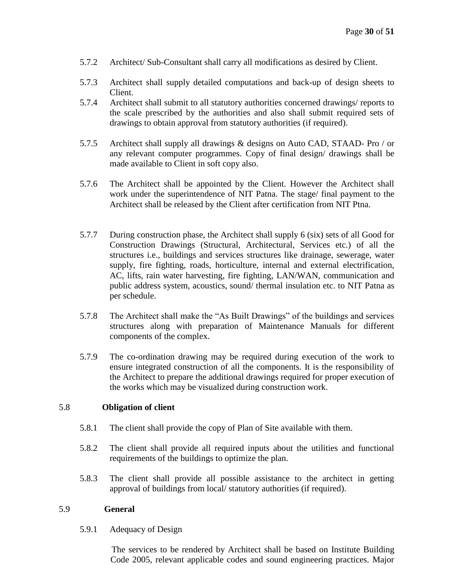- 5.7.2 Architect/ Sub-Consultant shall carry all modifications as desired by Client.
- 5.7.3 Architect shall supply detailed computations and back-up of design sheets to Client.
- 5.7.4 Architect shall submit to all statutory authorities concerned drawings/ reports to the scale prescribed by the authorities and also shall submit required sets of drawings to obtain approval from statutory authorities (if required).
- 5.7.5 Architect shall supply all drawings & designs on Auto CAD, STAAD- Pro / or any relevant computer programmes. Copy of final design/ drawings shall be made available to Client in soft copy also.
- 5.7.6 The Architect shall be appointed by the Client. However the Architect shall work under the superintendence of NIT Patna. The stage/ final payment to the Architect shall be released by the Client after certification from NIT Ptna.
- 5.7.7 During construction phase, the Architect shall supply 6 (six) sets of all Good for Construction Drawings (Structural, Architectural, Services etc.) of all the structures i.e., buildings and services structures like drainage, sewerage, water supply, fire fighting, roads, horticulture, internal and external electrification, AC, lifts, rain water harvesting, fire fighting, LAN/WAN, communication and public address system, acoustics, sound/ thermal insulation etc. to NIT Patna as per schedule.
- 5.7.8 The Architect shall make the "As Built Drawings" of the buildings and services structures along with preparation of Maintenance Manuals for different components of the complex.
- 5.7.9 The co-ordination drawing may be required during execution of the work to ensure integrated construction of all the components. It is the responsibility of the Architect to prepare the additional drawings required for proper execution of the works which may be visualized during construction work.

#### 5.8 **Obligation of client**

- 5.8.1 The client shall provide the copy of Plan of Site available with them.
- 5.8.2 The client shall provide all required inputs about the utilities and functional requirements of the buildings to optimize the plan.
- 5.8.3 The client shall provide all possible assistance to the architect in getting approval of buildings from local/ statutory authorities (if required).

#### 5.9 **General**

5.9.1 Adequacy of Design

 The services to be rendered by Architect shall be based on Institute Building Code 2005, relevant applicable codes and sound engineering practices. Major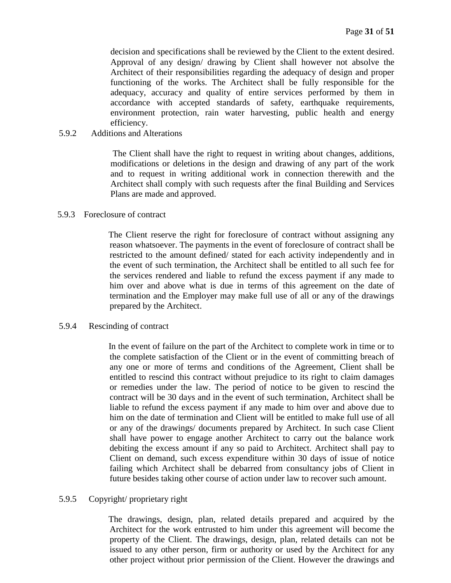decision and specifications shall be reviewed by the Client to the extent desired. Approval of any design/ drawing by Client shall however not absolve the Architect of their responsibilities regarding the adequacy of design and proper functioning of the works. The Architect shall be fully responsible for the adequacy, accuracy and quality of entire services performed by them in accordance with accepted standards of safety, earthquake requirements, environment protection, rain water harvesting, public health and energy efficiency.

#### 5.9.2 Additions and Alterations

 The Client shall have the right to request in writing about changes, additions, modifications or deletions in the design and drawing of any part of the work and to request in writing additional work in connection therewith and the Architect shall comply with such requests after the final Building and Services Plans are made and approved.

#### 5.9.3 Foreclosure of contract

 The Client reserve the right for foreclosure of contract without assigning any reason whatsoever. The payments in the event of foreclosure of contract shall be restricted to the amount defined/ stated for each activity independently and in the event of such termination, the Architect shall be entitled to all such fee for the services rendered and liable to refund the excess payment if any made to him over and above what is due in terms of this agreement on the date of termination and the Employer may make full use of all or any of the drawings prepared by the Architect.

#### 5.9.4 Rescinding of contract

 In the event of failure on the part of the Architect to complete work in time or to the complete satisfaction of the Client or in the event of committing breach of any one or more of terms and conditions of the Agreement, Client shall be entitled to rescind this contract without prejudice to its right to claim damages or remedies under the law. The period of notice to be given to rescind the contract will be 30 days and in the event of such termination, Architect shall be liable to refund the excess payment if any made to him over and above due to him on the date of termination and Client will be entitled to make full use of all or any of the drawings/ documents prepared by Architect. In such case Client shall have power to engage another Architect to carry out the balance work debiting the excess amount if any so paid to Architect. Architect shall pay to Client on demand, such excess expenditure within 30 days of issue of notice failing which Architect shall be debarred from consultancy jobs of Client in future besides taking other course of action under law to recover such amount.

#### 5.9.5 Copyright/ proprietary right

 The drawings, design, plan, related details prepared and acquired by the Architect for the work entrusted to him under this agreement will become the property of the Client. The drawings, design, plan, related details can not be issued to any other person, firm or authority or used by the Architect for any other project without prior permission of the Client. However the drawings and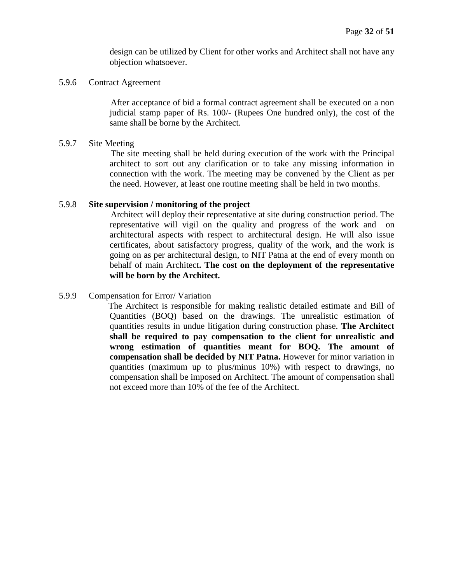design can be utilized by Client for other works and Architect shall not have any objection whatsoever.

#### 5.9.6 Contract Agreement

 After acceptance of bid a formal contract agreement shall be executed on a non judicial stamp paper of Rs. 100/- (Rupees One hundred only), the cost of the same shall be borne by the Architect.

#### 5.9.7 Site Meeting

 The site meeting shall be held during execution of the work with the Principal architect to sort out any clarification or to take any missing information in connection with the work. The meeting may be convened by the Client as per the need. However, at least one routine meeting shall be held in two months.

#### 5.9.8 **Site supervision / monitoring of the project**

 Architect will deploy their representative at site during construction period. The representative will vigil on the quality and progress of the work and on architectural aspects with respect to architectural design. He will also issue certificates, about satisfactory progress, quality of the work, and the work is going on as per architectural design, to NIT Patna at the end of every month on behalf of main Architect**. The cost on the deployment of the representative will be born by the Architect.**

#### 5.9.9 Compensation for Error/ Variation

 The Architect is responsible for making realistic detailed estimate and Bill of Quantities (BOQ) based on the drawings. The unrealistic estimation of quantities results in undue litigation during construction phase. **The Architect shall be required to pay compensation to the client for unrealistic and wrong estimation of quantities meant for BOQ. The amount of compensation shall be decided by NIT Patna.** However for minor variation in quantities (maximum up to plus/minus 10%) with respect to drawings, no compensation shall be imposed on Architect. The amount of compensation shall not exceed more than 10% of the fee of the Architect.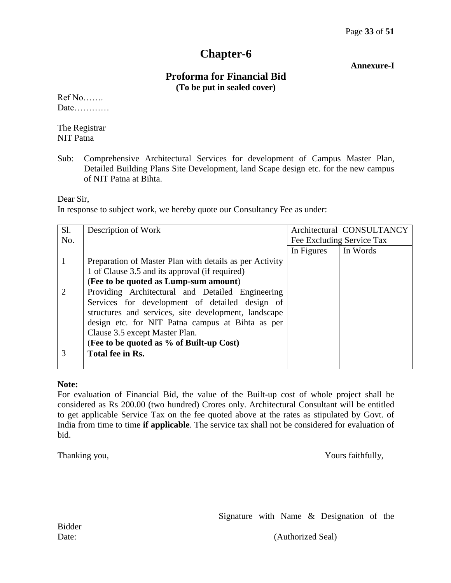#### **Annexure-I**

# **Proforma for Financial Bid (To be put in sealed cover)**

Ref No……. Date…………

The Registrar NIT Patna

Sub: Comprehensive Architectural Services for development of Campus Master Plan, Detailed Building Plans Site Development, land Scape design etc. for the new campus of NIT Patna at Bihta.

Dear Sir,

In response to subject work, we hereby quote our Consultancy Fee as under:

| Sl.                         | Description of Work                                     |            | Architectural CONSULTANCY |
|-----------------------------|---------------------------------------------------------|------------|---------------------------|
| No.                         |                                                         |            | Fee Excluding Service Tax |
|                             |                                                         | In Figures | In Words                  |
|                             | Preparation of Master Plan with details as per Activity |            |                           |
|                             | 1 of Clause 3.5 and its approval (if required)          |            |                           |
|                             | (Fee to be quoted as Lump-sum amount)                   |            |                           |
| $\mathcal{D}_{\mathcal{L}}$ | Providing Architectural and Detailed Engineering        |            |                           |
|                             | Services for development of detailed design of          |            |                           |
|                             | structures and services, site development, landscape    |            |                           |
|                             | design etc. for NIT Patna campus at Bihta as per        |            |                           |
|                             | Clause 3.5 except Master Plan.                          |            |                           |
|                             | (Fee to be quoted as % of Built-up Cost)                |            |                           |
| $\mathcal{R}$               | Total fee in Rs.                                        |            |                           |
|                             |                                                         |            |                           |

#### **Note:**

For evaluation of Financial Bid, the value of the Built-up cost of whole project shall be considered as Rs 200.00 (two hundred) Crores only. Architectural Consultant will be entitled to get applicable Service Tax on the fee quoted above at the rates as stipulated by Govt. of India from time to time **if applicable**. The service tax shall not be considered for evaluation of bid.

Thanking you,  $\frac{1}{2}$  Yours faithfully,

Signature with Name & Designation of the

Date: (Authorized Seal)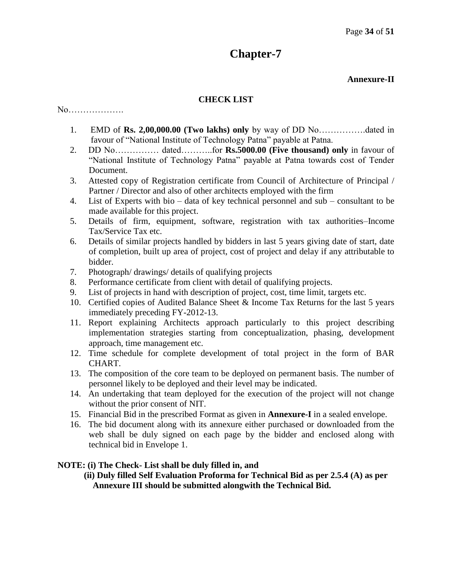# **Annexure-II**

# **CHECK LIST**

No……………….

- 1. EMD of **Rs. 2,00,000.00 (Two lakhs) only** by way of DD No…………….dated in favour of "National Institute of Technology Patna" payable at Patna.
- 2. DD No…………… dated………..for **Rs.5000.00 (Five thousand) only** in favour of "National Institute of Technology Patna" payable at Patna towards cost of Tender Document.
- 3. Attested copy of Registration certificate from Council of Architecture of Principal / Partner / Director and also of other architects employed with the firm
- 4. List of Experts with bio data of key technical personnel and sub consultant to be made available for this project.
- 5. Details of firm, equipment, software, registration with tax authorities–Income Tax/Service Tax etc.
- 6. Details of similar projects handled by bidders in last 5 years giving date of start, date of completion, built up area of project, cost of project and delay if any attributable to bidder.
- 7. Photograph/ drawings/ details of qualifying projects
- 8. Performance certificate from client with detail of qualifying projects.
- 9. List of projects in hand with description of project, cost, time limit, targets etc.
- 10. Certified copies of Audited Balance Sheet & Income Tax Returns for the last 5 years immediately preceding FY-2012-13.
- 11. Report explaining Architects approach particularly to this project describing implementation strategies starting from conceptualization, phasing, development approach, time management etc.
- 12. Time schedule for complete development of total project in the form of BAR CHART.
- 13. The composition of the core team to be deployed on permanent basis. The number of personnel likely to be deployed and their level may be indicated.
- 14. An undertaking that team deployed for the execution of the project will not change without the prior consent of NIT.
- 15. Financial Bid in the prescribed Format as given in **Annexure-I** in a sealed envelope.
- 16. The bid document along with its annexure either purchased or downloaded from the web shall be duly signed on each page by the bidder and enclosed along with technical bid in Envelope 1.

# **NOTE: (i) The Check- List shall be duly filled in, and**

 **(ii) Duly filled Self Evaluation Proforma for Technical Bid as per 2.5.4 (A) as per Annexure III should be submitted alongwith the Technical Bid.**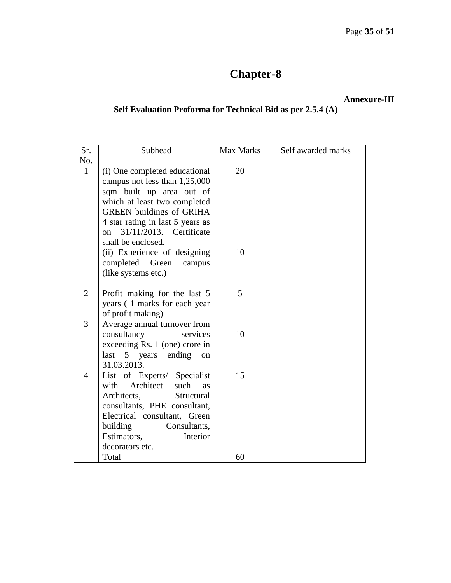# **Annexure-III**

# **Self Evaluation Proforma for Technical Bid as per 2.5.4 (A)**

| Sr.            | Subhead                                                                                                                                                                                                                                                                                                                 | Max Marks | Self awarded marks |
|----------------|-------------------------------------------------------------------------------------------------------------------------------------------------------------------------------------------------------------------------------------------------------------------------------------------------------------------------|-----------|--------------------|
| No.            |                                                                                                                                                                                                                                                                                                                         |           |                    |
| $\mathbf{1}$   | (i) One completed educational<br>campus not less than $1,25,000$<br>sqm built up area out of<br>which at least two completed<br><b>GREEN</b> buildings of GRIHA<br>4 star rating in last 5 years as<br>31/11/2013. Certificate<br>on<br>shall be enclosed.<br>(ii) Experience of designing<br>completed Green<br>campus | 20<br>10  |                    |
|                | (like systems etc.)                                                                                                                                                                                                                                                                                                     |           |                    |
| $\overline{2}$ | Profit making for the last 5<br>years (1 marks for each year<br>of profit making)                                                                                                                                                                                                                                       | 5         |                    |
| 3              | Average annual turnover from<br>consultancy<br>services<br>exceeding Rs. 1 (one) crore in<br>last 5 years ending<br>on<br>31.03.2013.                                                                                                                                                                                   | 10        |                    |
| $\overline{4}$ | List of Experts/ Specialist<br>with Architect<br>such<br>as<br>Architects,<br>Structural<br>consultants, PHE consultant,<br>Electrical consultant, Green<br>building<br>Consultants,<br>Estimators,<br>Interior<br>decorators etc.                                                                                      | 15        |                    |
|                | Total                                                                                                                                                                                                                                                                                                                   | 60        |                    |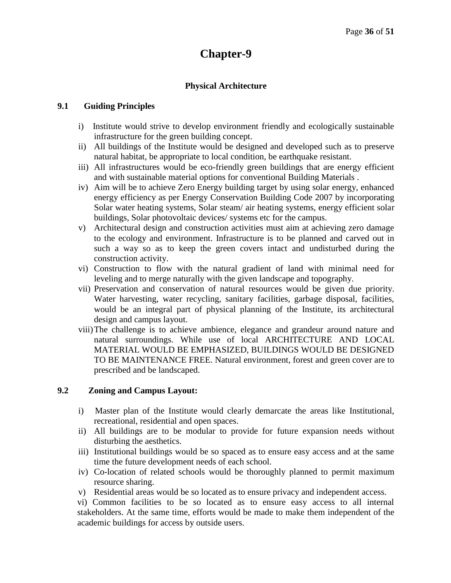# **Physical Architecture**

#### **9.1 Guiding Principles**

- i) Institute would strive to develop environment friendly and ecologically sustainable infrastructure for the green building concept.
- ii) All buildings of the Institute would be designed and developed such as to preserve natural habitat, be appropriate to local condition, be earthquake resistant.
- iii) All infrastructures would be eco-friendly green buildings that are energy efficient and with sustainable material options for conventional Building Materials .
- iv) Aim will be to achieve Zero Energy building target by using solar energy, enhanced energy efficiency as per Energy Conservation Building Code 2007 by incorporating Solar water heating systems, Solar steam/ air heating systems, energy efficient solar buildings, Solar photovoltaic devices/ systems etc for the campus.
- v) Architectural design and construction activities must aim at achieving zero damage to the ecology and environment. Infrastructure is to be planned and carved out in such a way so as to keep the green covers intact and undisturbed during the construction activity.
- vi) Construction to flow with the natural gradient of land with minimal need for leveling and to merge naturally with the given landscape and topography.
- vii) Preservation and conservation of natural resources would be given due priority. Water harvesting, water recycling, sanitary facilities, garbage disposal, facilities, would be an integral part of physical planning of the Institute, its architectural design and campus layout.
- viii)The challenge is to achieve ambience, elegance and grandeur around nature and natural surroundings. While use of local ARCHITECTURE AND LOCAL MATERIAL WOULD BE EMPHASIZED, BUILDINGS WOULD BE DESIGNED TO BE MAINTENANCE FREE. Natural environment, forest and green cover are to prescribed and be landscaped.

# **9.2 Zoning and Campus Layout:**

- i) Master plan of the Institute would clearly demarcate the areas like Institutional, recreational, residential and open spaces.
- ii) All buildings are to be modular to provide for future expansion needs without disturbing the aesthetics.
- iii) Institutional buildings would be so spaced as to ensure easy access and at the same time the future development needs of each school.
- iv) Co-location of related schools would be thoroughly planned to permit maximum resource sharing.
- v) Residential areas would be so located as to ensure privacy and independent access.

vi) Common facilities to be so located as to ensure easy access to all internal stakeholders. At the same time, efforts would be made to make them independent of the academic buildings for access by outside users.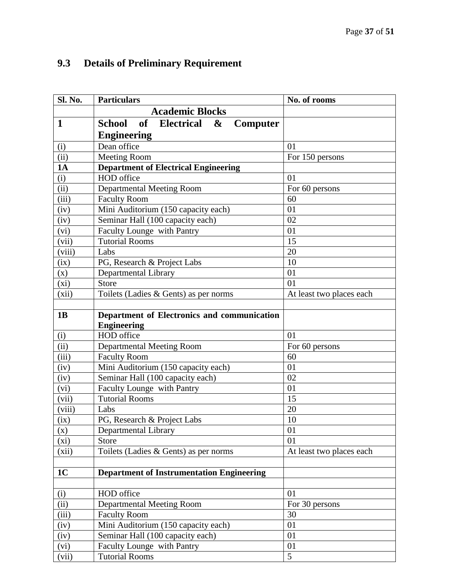# **9.3 Details of Preliminary Requirement**

| Sl. No.                    | <b>Particulars</b>                                                     | No. of rooms             |
|----------------------------|------------------------------------------------------------------------|--------------------------|
|                            | <b>Academic Blocks</b>                                                 |                          |
| $\mathbf{1}$               | of<br><b>Electrical</b><br>School<br>$\boldsymbol{\alpha}$<br>Computer |                          |
|                            | <b>Engineering</b>                                                     |                          |
| (i)                        | Dean office                                                            | 01                       |
| $\overline{(\mathrm{ii})}$ | Meeting Room                                                           | For 150 persons          |
| 1A                         | <b>Department of Electrical Engineering</b>                            |                          |
| (i)                        | HOD office                                                             | 01                       |
| (ii)                       | <b>Departmental Meeting Room</b>                                       | For 60 persons           |
| (iii)                      | <b>Faculty Room</b>                                                    | 60                       |
| (iv)                       | Mini Auditorium (150 capacity each)                                    | 01                       |
| (iv)                       | Seminar Hall (100 capacity each)                                       | 02                       |
| (vi)                       | Faculty Lounge with Pantry                                             | 01                       |
| (vii)                      | <b>Tutorial Rooms</b>                                                  | 15                       |
| (viii)                     | Labs                                                                   | 20                       |
| (ix)                       | PG, Research & Project Labs                                            | 10                       |
| (x)                        | Departmental Library                                                   | 01                       |
| (xi)                       | <b>Store</b>                                                           | 01                       |
| (xii)                      | Toilets (Ladies & Gents) as per norms                                  | At least two places each |
|                            |                                                                        |                          |
| 1B                         | Department of Electronics and communication                            |                          |
|                            | <b>Engineering</b>                                                     |                          |
| (i)                        | HOD office                                                             | 01                       |
| (ii)                       | <b>Departmental Meeting Room</b>                                       | For 60 persons           |
| (iii)                      | <b>Faculty Room</b>                                                    | 60                       |
| (iv)                       | Mini Auditorium (150 capacity each)                                    | 01                       |
| (iv)                       | Seminar Hall (100 capacity each)                                       | 02                       |
| (vi)                       | Faculty Lounge with Pantry                                             | 01                       |
| (vii)                      | <b>Tutorial Rooms</b>                                                  | 15                       |
| (viii)                     | Labs                                                                   | 20                       |
| (ix)                       | PG, Research & Project Labs                                            | 10                       |
| (x)                        | Departmental Library                                                   | 01                       |
| (xi)                       | Store                                                                  | 01                       |
| (xii)                      | Toilets (Ladies & Gents) as per norms                                  | At least two places each |
|                            |                                                                        |                          |
| 1 <sub>C</sub>             | <b>Department of Instrumentation Engineering</b>                       |                          |
|                            | HOD office                                                             | 01                       |
| (i)<br>(iii)               |                                                                        | For 30 persons           |
| (iii)                      | <b>Departmental Meeting Room</b><br><b>Faculty Room</b>                | 30                       |
|                            |                                                                        | 01                       |
| (iv)                       | Mini Auditorium (150 capacity each)                                    | 01                       |
| (iv)                       | Seminar Hall (100 capacity each)                                       | 01                       |
| (vi)                       | Faculty Lounge with Pantry                                             | $\overline{5}$           |
| (vii)                      | <b>Tutorial Rooms</b>                                                  |                          |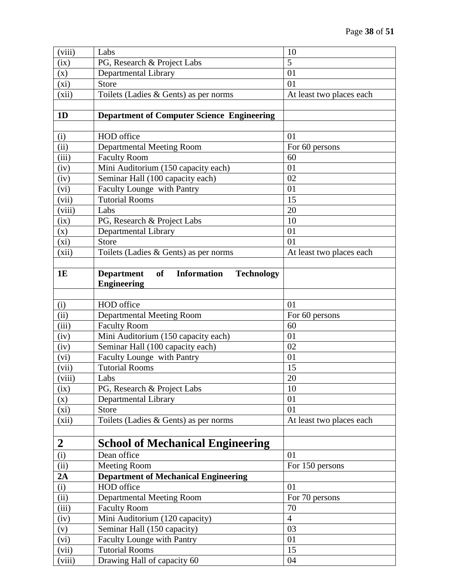| (viii)           | Labs                                                                      | 10                       |
|------------------|---------------------------------------------------------------------------|--------------------------|
| (ix)             | PG, Research & Project Labs                                               | 5                        |
| (x)              | Departmental Library                                                      | 01                       |
| $(x_i)$          | Store                                                                     | 01                       |
| (xii)            | Toilets (Ladies & Gents) as per norms                                     | At least two places each |
|                  |                                                                           |                          |
| 1D               | <b>Department of Computer Science Engineering</b>                         |                          |
|                  |                                                                           |                          |
| (i)              | HOD office                                                                | 01                       |
| (ii)             | Departmental Meeting Room                                                 | For 60 persons           |
| (iii)            | <b>Faculty Room</b>                                                       | 60                       |
| (iv)             | Mini Auditorium (150 capacity each)                                       | 01                       |
| (iv)             | Seminar Hall (100 capacity each)                                          | 02                       |
| (vi)             | Faculty Lounge with Pantry                                                | 01                       |
| (vii)            | <b>Tutorial Rooms</b>                                                     | 15                       |
| (viii)           | Labs                                                                      | 20                       |
| (ix)             | PG, Research & Project Labs                                               | 10                       |
| (x)              | Departmental Library                                                      | 01                       |
| (xi)             | Store                                                                     | 01                       |
| (xii)            | Toilets (Ladies & Gents) as per norms                                     | At least two places each |
|                  |                                                                           |                          |
| 1E               | <b>of</b><br><b>Information</b><br><b>Technology</b><br><b>Department</b> |                          |
|                  | <b>Engineering</b>                                                        |                          |
|                  |                                                                           |                          |
| (i)              | HOD office                                                                | 01                       |
| (ii)             | Departmental Meeting Room                                                 | For 60 persons           |
| (iii)            | <b>Faculty Room</b>                                                       | 60                       |
| (iv)             | Mini Auditorium (150 capacity each)                                       | 01                       |
| (iv)             | Seminar Hall (100 capacity each)                                          | 02                       |
| (vi)             | Faculty Lounge with Pantry                                                | 01                       |
| (vii)            | <b>Tutorial Rooms</b>                                                     | 15                       |
| (viii)           | Labs                                                                      | $20\,$                   |
| (ix)             | PG, Research & Project Labs                                               | 10                       |
| (x)              | Departmental Library                                                      | 01                       |
| $(x_i)$          | <b>Store</b>                                                              | 01                       |
| (xii)            | Toilets (Ladies & Gents) as per norms                                     | At least two places each |
|                  |                                                                           |                          |
| $\boldsymbol{2}$ | <b>School of Mechanical Engineering</b>                                   |                          |
| (i)              | Dean office                                                               | 01                       |
| (ii)             | <b>Meeting Room</b>                                                       | For 150 persons          |
| 2A               | <b>Department of Mechanical Engineering</b>                               |                          |
| (i)              | HOD office                                                                | 01                       |
| (iii)            | <b>Departmental Meeting Room</b>                                          | For 70 persons           |
| (iii)            | <b>Faculty Room</b>                                                       | 70                       |
| (iv)             | Mini Auditorium (120 capacity)                                            | $\overline{4}$           |
| (v)              | Seminar Hall (150 capacity)                                               | 03                       |
| (vi)             | <b>Faculty Lounge with Pantry</b>                                         | 01                       |
| (vii)            | <b>Tutorial Rooms</b>                                                     | 15                       |
| (viii)           | Drawing Hall of capacity 60                                               | 04                       |
|                  |                                                                           |                          |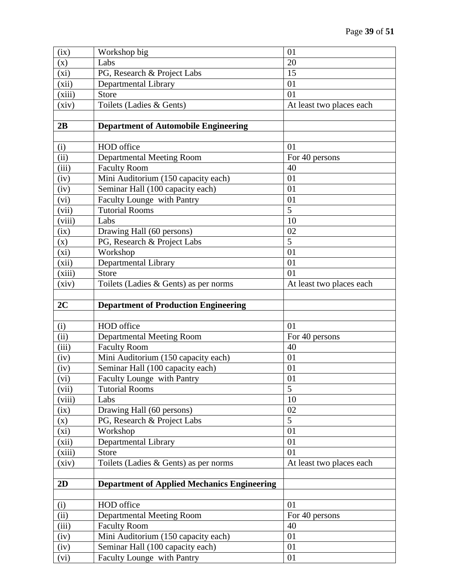| (ix)         | Workshop big                                                   | 01                       |
|--------------|----------------------------------------------------------------|--------------------------|
| (x)          | Labs                                                           | 20                       |
| (xi)         | PG, Research & Project Labs                                    | 15                       |
| (xii)        | Departmental Library                                           | 01                       |
| (xiii)       | <b>Store</b>                                                   | 01                       |
| (xiv)        | Toilets (Ladies & Gents)                                       | At least two places each |
|              |                                                                |                          |
| 2B           | <b>Department of Automobile Engineering</b>                    |                          |
|              |                                                                |                          |
| (i)          | HOD office                                                     | 01                       |
| (iii)        | <b>Departmental Meeting Room</b>                               | For 40 persons           |
| (iii)        | <b>Faculty Room</b>                                            | 40                       |
| (iv)         | Mini Auditorium (150 capacity each)                            | 01                       |
| (iv)         | Seminar Hall (100 capacity each)                               | 01                       |
| (vi)         | Faculty Lounge with Pantry                                     | 01                       |
| (vii)        | <b>Tutorial Rooms</b>                                          | 5                        |
| (viii)       | Labs                                                           | 10                       |
| (ix)         | Drawing Hall (60 persons)                                      | 02                       |
| (x)          | PG, Research & Project Labs                                    | 5                        |
| $(x_i)$      | Workshop                                                       | 01                       |
| (xii)        | Departmental Library                                           | 01                       |
| (xiii)       | Store                                                          | 01                       |
| (xiv)        | Toilets (Ladies & Gents) as per norms                          | At least two places each |
|              |                                                                |                          |
| 2C           | <b>Department of Production Engineering</b>                    |                          |
|              |                                                                |                          |
| (i)          | HOD office                                                     | 01                       |
| (ii)         | Departmental Meeting Room                                      | For 40 persons           |
| (iii)        | <b>Faculty Room</b>                                            | 40                       |
| (iv)         | Mini Auditorium (150 capacity each)                            | 01                       |
| (iv)         | Seminar Hall (100 capacity each)                               | 01                       |
| (vi)         | Faculty Lounge with Pantry                                     | 01                       |
| (vii)        | <b>Tutorial Rooms</b>                                          | 5                        |
| (viii)       | Labs                                                           | 10                       |
| (ix)         | Drawing Hall (60 persons)                                      | 02                       |
| (x)          | PG, Research & Project Labs                                    | 5                        |
| $(x_i)$      | Workshop                                                       | 01                       |
| (xii)        | Departmental Library                                           | 01                       |
| (xiii)       | Store                                                          | 01                       |
| (xiv)        | Toilets (Ladies & Gents) as per norms                          | At least two places each |
|              |                                                                |                          |
| 2D           | <b>Department of Applied Mechanics Engineering</b>             |                          |
|              |                                                                |                          |
| (i)          | HOD office                                                     | 01                       |
| (ii)         |                                                                | For 40 persons           |
|              | <b>Departmental Meeting Room</b>                               |                          |
| (iii)        | <b>Faculty Room</b>                                            | 40                       |
| (iv)         | Mini Auditorium (150 capacity each)                            | 01                       |
| (iv)<br>(vi) | Seminar Hall (100 capacity each)<br>Faculty Lounge with Pantry | 01<br>01                 |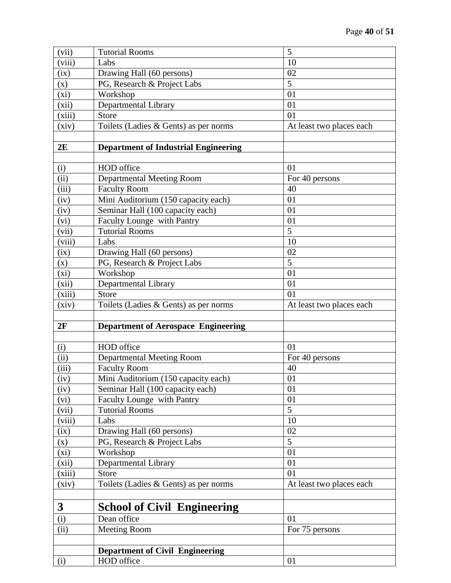| (i)            | HOD office                                  | 01                       |
|----------------|---------------------------------------------|--------------------------|
|                | <b>Department of Civil Engineering</b>      |                          |
|                |                                             |                          |
| (ii)           | <b>Meeting Room</b>                         | For 75 persons           |
| (i)            | Dean office                                 | 01                       |
| $\mathbf{3}$   | <b>School of Civil Engineering</b>          |                          |
|                |                                             |                          |
| (xiv)          | Toilets (Ladies & Gents) as per norms       | At least two places each |
| (xiii)         | <b>Store</b>                                | 01                       |
| (xii)          | Departmental Library                        | 01                       |
| $(x_i)$        | Workshop                                    | 01                       |
| (x)            | PG, Research & Project Labs                 | $\overline{5}$           |
| (ix)           | Drawing Hall (60 persons)                   | 02                       |
| (viii)         | Labs                                        | 10                       |
| (vii)          | <b>Tutorial Rooms</b>                       | $\overline{5}$           |
| (vi)           | Faculty Lounge with Pantry                  | 01                       |
| (iv)           | Seminar Hall (100 capacity each)            | 01                       |
| (iv)           | Mini Auditorium (150 capacity each)         | 01                       |
| (iii)          | <b>Faculty Room</b>                         | 40                       |
| (ii)           | <b>Departmental Meeting Room</b>            | For 40 persons           |
| (i)            | HOD office                                  | 01                       |
|                |                                             |                          |
| 2F             | <b>Department of Aerospace Engineering</b>  |                          |
|                |                                             |                          |
| (xiv)          | Toilets (Ladies & Gents) as per norms       | At least two places each |
| (xiii)         | <b>Store</b>                                | 01                       |
| (xii)          | Departmental Library                        | 01                       |
| $(x_i)$        | Workshop                                    | 01                       |
| (x)            | PG, Research & Project Labs                 | $\overline{5}$           |
| (ix)           | Drawing Hall (60 persons)                   | 02                       |
| (viii)         | Labs                                        | 10                       |
| (vii)          | <b>Tutorial Rooms</b>                       | 5                        |
| (vi)           | Faculty Lounge with Pantry                  | 01                       |
| (iv)           | Seminar Hall (100 capacity each)            | 01                       |
| (iv)           | Mini Auditorium (150 capacity each)         | 01                       |
| (iii)          | <b>Faculty Room</b>                         | 40                       |
| (ii)           | <b>Departmental Meeting Room</b>            | For 40 persons           |
| (i)            | HOD office                                  | 01                       |
|                |                                             |                          |
| 2E             | <b>Department of Industrial Engineering</b> |                          |
|                |                                             |                          |
| (xiv)          | Toilets (Ladies & Gents) as per norms       | At least two places each |
| (xiii)         | <b>Store</b>                                | 01                       |
| (xii)          | Departmental Library                        | 01                       |
| (xi)           | Workshop                                    | 01                       |
| (x)            | PG, Research & Project Labs                 | $\overline{5}$           |
| (viii)<br>(ix) | Drawing Hall (60 persons)                   | 02                       |
| (vii)          | Labs                                        | 10                       |
|                | <b>Tutorial Rooms</b>                       | 5                        |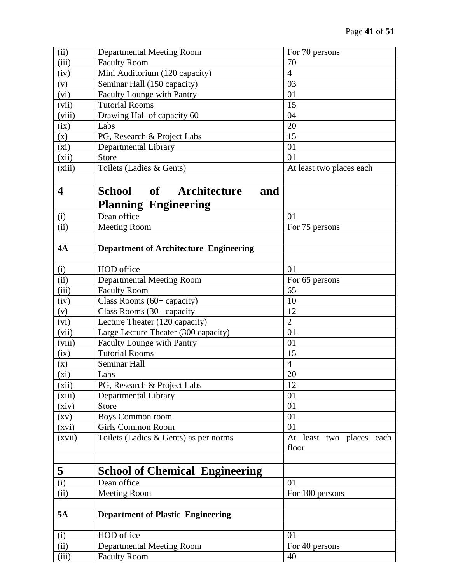| (ii)                       | <b>Departmental Meeting Room</b>              | For 70 persons           |
|----------------------------|-----------------------------------------------|--------------------------|
| (iii)                      | <b>Faculty Room</b>                           | 70                       |
| (iv)                       | Mini Auditorium (120 capacity)                | $\overline{4}$           |
| (v)                        | Seminar Hall (150 capacity)                   | 03                       |
| (vi)                       | Faculty Lounge with Pantry                    | 01                       |
| (vii)                      | <b>Tutorial Rooms</b>                         | 15                       |
| (viii)                     | Drawing Hall of capacity 60                   | 04                       |
| (ix)                       | Labs                                          | 20                       |
| (x)                        | PG, Research & Project Labs                   | 15                       |
| $(x_i)$                    | Departmental Library                          | 01                       |
| (xii)                      | Store                                         | 01                       |
| (xiii)                     | Toilets (Ladies & Gents)                      | At least two places each |
|                            |                                               |                          |
| $\overline{\mathbf{4}}$    | <b>School</b><br>of<br>Architecture<br>and    |                          |
|                            |                                               |                          |
|                            | <b>Planning Engineering</b>                   |                          |
| (i)                        | Dean office                                   | 01                       |
| $\overline{(\mathrm{ii})}$ | <b>Meeting Room</b>                           | For 75 persons           |
| 4A                         | <b>Department of Architecture Engineering</b> |                          |
|                            |                                               |                          |
| (i)                        | HOD office                                    | 01                       |
| (ii)                       | Departmental Meeting Room                     | For 65 persons           |
| (iii)                      | <b>Faculty Room</b>                           | 65                       |
| (iv)                       | Class Rooms $(60 +$ capacity)                 | 10                       |
| (v)                        | Class Rooms (30+ capacity                     | 12                       |
| (vi)                       | Lecture Theater (120 capacity)                | $\overline{2}$           |
| (vii)                      | Large Lecture Theater (300 capacity)          | 01                       |
| (viii)                     | Faculty Lounge with Pantry                    | 01                       |
| (ix)                       | <b>Tutorial Rooms</b>                         | 15                       |
| $(\mathbf{x})$             | Seminar Hall                                  | $\overline{4}$           |
| (xi)                       | Labs                                          | 20                       |
| (xii)                      | PG, Research & Project Labs                   | 12                       |
| (xiii)                     | Departmental Library                          | 01                       |
| (xiv)                      | <b>Store</b>                                  | 01                       |
| (xv)                       | <b>Boys Common room</b>                       | 01                       |
| (xvi)                      | <b>Girls Common Room</b>                      | 01                       |
| (xvii)                     | Toilets (Ladies & Gents) as per norms         | At least two places each |
|                            |                                               | floor                    |
|                            |                                               |                          |
| 5                          | <b>School of Chemical Engineering</b>         |                          |
| (i)                        | Dean office                                   | 01                       |
| $\overline{(\mathrm{ii})}$ | <b>Meeting Room</b>                           | For 100 persons          |
|                            |                                               |                          |
| <b>5A</b>                  | <b>Department of Plastic Engineering</b>      |                          |
|                            |                                               |                          |
| (i)                        | HOD office                                    | 01                       |
| (ii)                       | <b>Departmental Meeting Room</b>              | For 40 persons           |
| (iii)                      | <b>Faculty Room</b>                           | 40                       |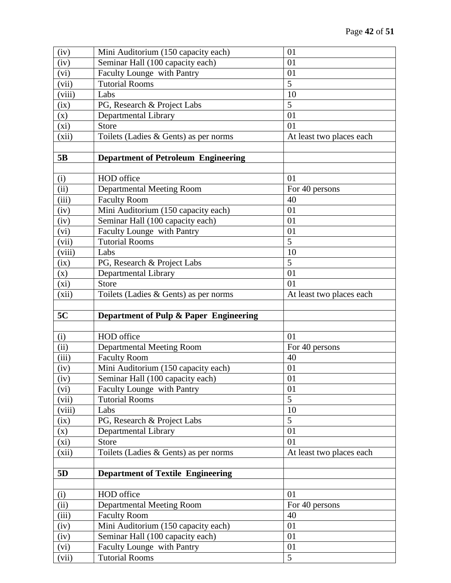| (iv)                       | Mini Auditorium (150 capacity each)                 | 01                       |
|----------------------------|-----------------------------------------------------|--------------------------|
| (iv)                       | Seminar Hall (100 capacity each)                    | 01                       |
| (vi)                       | Faculty Lounge with Pantry                          | 01                       |
| (vii)                      | <b>Tutorial Rooms</b>                               | 5                        |
| (viii)                     | Labs                                                | 10                       |
| (ix)                       | PG, Research & Project Labs                         | 5                        |
| (x)                        | Departmental Library                                | 01                       |
| (xi)                       | <b>Store</b>                                        | 01                       |
| (xii)                      | Toilets (Ladies $& Gents$ ) as per norms            | At least two places each |
|                            |                                                     |                          |
| 5B                         | <b>Department of Petroleum Engineering</b>          |                          |
|                            |                                                     |                          |
| (i)                        | HOD office                                          | 01                       |
| $\overline{(\mathrm{ii})}$ | Departmental Meeting Room                           | For 40 persons           |
| (iii)                      | <b>Faculty Room</b>                                 | 40                       |
| (iv)                       | Mini Auditorium (150 capacity each)                 | 01                       |
| (iv)                       | Seminar Hall (100 capacity each)                    | 01                       |
| (vi)                       | Faculty Lounge with Pantry                          | 01                       |
| (vii)                      | <b>Tutorial Rooms</b>                               | $\overline{5}$           |
| (viii)                     | Labs                                                | 10                       |
| (ix)                       | PG, Research & Project Labs                         | 5                        |
| (x)                        | Departmental Library                                | 01                       |
| $(x_i)$                    | <b>Store</b>                                        | 01                       |
| (xii)                      | Toilets (Ladies & Gents) as per norms               | At least two places each |
|                            |                                                     |                          |
|                            |                                                     |                          |
| 5C                         | Department of Pulp & Paper Engineering              |                          |
|                            |                                                     |                          |
| (i)                        | HOD office                                          | 01                       |
| (ii)                       | <b>Departmental Meeting Room</b>                    | For 40 persons           |
| (iii)                      | <b>Faculty Room</b>                                 | 40                       |
| (iv)                       | Mini Auditorium (150 capacity each)                 | 01                       |
| (iv)                       | Seminar Hall (100 capacity each)                    | 01                       |
| (vi)                       | Faculty Lounge with Pantry                          | 01                       |
| (vii)                      | <b>Tutorial Rooms</b>                               | $\overline{5}$           |
| (viii)                     | Labs                                                | 10                       |
| (ix)                       | PG, Research & Project Labs                         | 5                        |
| (x)                        | Departmental Library                                | 01                       |
| $(x_i)$                    | <b>Store</b>                                        | 01                       |
| (xii)                      | Toilets (Ladies & Gents) as per norms               | At least two places each |
|                            |                                                     |                          |
| 5 <sub>D</sub>             | <b>Department of Textile Engineering</b>            |                          |
|                            |                                                     |                          |
| (i)                        | HOD office                                          | 01                       |
| (ii)                       | <b>Departmental Meeting Room</b>                    | For 40 persons           |
| (iii)                      | <b>Faculty Room</b>                                 | 40                       |
| (iv)                       | Mini Auditorium (150 capacity each)                 | 01                       |
| (iv)                       | Seminar Hall (100 capacity each)                    | 01                       |
| (vi)<br>(vii)              | Faculty Lounge with Pantry<br><b>Tutorial Rooms</b> | 01<br>5                  |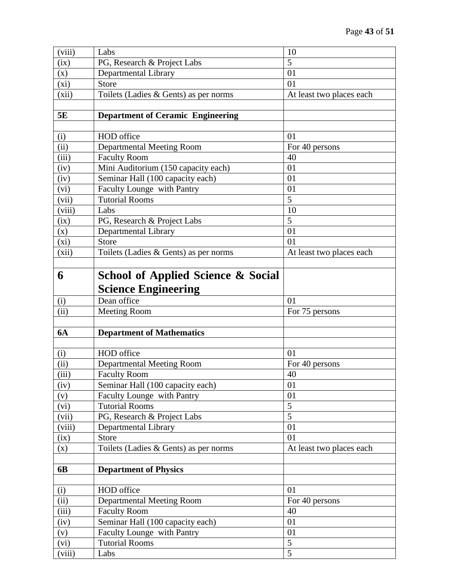| (viii)                     | Labs                                          | 10                               |
|----------------------------|-----------------------------------------------|----------------------------------|
| (ix)                       | PG, Research & Project Labs                   | 5                                |
| (x)                        | Departmental Library                          | 01                               |
| (xi)                       | <b>Store</b>                                  | 01                               |
| (xii)                      | Toilets (Ladies & Gents) as per norms         | At least two places each         |
|                            |                                               |                                  |
| 5E                         | <b>Department of Ceramic Engineering</b>      |                                  |
|                            |                                               |                                  |
| (i)                        | HOD office                                    | 01                               |
| (ii)                       | <b>Departmental Meeting Room</b>              | For 40 persons                   |
| (iii)                      | <b>Faculty Room</b>                           | 40                               |
| (iv)                       | Mini Auditorium (150 capacity each)           | 01                               |
| (iv)                       | Seminar Hall (100 capacity each)              | 01                               |
| (vi)                       | Faculty Lounge with Pantry                    | 01                               |
| (vii)                      | <b>Tutorial Rooms</b>                         | 5                                |
| (viii)                     | Labs                                          | 10                               |
| (ix)                       | PG, Research & Project Labs                   | 5                                |
| (x)                        | Departmental Library                          | 01                               |
| $(x_i)$                    | <b>Store</b>                                  | 01                               |
| (xii)                      | Toilets (Ladies & Gents) as per norms         | At least two places each         |
|                            |                                               |                                  |
| 6                          | <b>School of Applied Science &amp; Social</b> |                                  |
|                            |                                               |                                  |
|                            | <b>Science Engineering</b>                    |                                  |
| (i)                        | Dean office                                   | 01                               |
|                            |                                               |                                  |
| $\overline{(\mathrm{ii})}$ | <b>Meeting Room</b>                           | For 75 persons                   |
|                            |                                               |                                  |
| <b>6A</b>                  | <b>Department of Mathematics</b>              |                                  |
|                            |                                               |                                  |
| (i)                        | HOD office                                    | 01                               |
| (ii)                       | Departmental Meeting Room                     | For 40 persons                   |
| (iii)                      | <b>Faculty Room</b>                           | 40                               |
| (iv)                       | Seminar Hall (100 capacity each)              | 01                               |
| (v)                        | <b>Faculty Lounge with Pantry</b>             | 01                               |
| (vi)                       | <b>Tutorial Rooms</b>                         | $\overline{5}$                   |
| (vii)                      | PG, Research & Project Labs                   | $\overline{5}$                   |
| (viii)                     | Departmental Library                          | 01                               |
| (ix)                       | <b>Store</b>                                  | 01                               |
| (x)                        | Toilets (Ladies & Gents) as per norms         | At least two places each         |
|                            |                                               |                                  |
| 6 <b>B</b>                 | <b>Department of Physics</b>                  |                                  |
|                            |                                               |                                  |
| (i)                        | HOD office                                    | 01                               |
| (ii)                       | <b>Departmental Meeting Room</b>              | For 40 persons                   |
| (iii)                      | <b>Faculty Room</b>                           | 40                               |
| (iv)                       | Seminar Hall (100 capacity each)              | 01                               |
| (v)                        | Faculty Lounge with Pantry                    | 01                               |
| (vi)<br>(viii)             | <b>Tutorial Rooms</b><br>Labs                 | $\overline{5}$<br>$\overline{5}$ |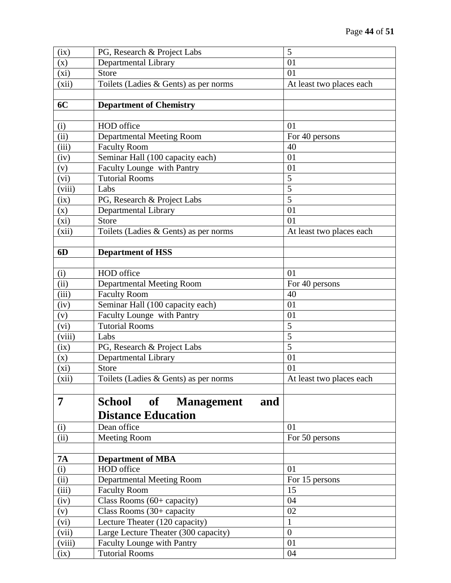| (ix)                       | PG, Research & Project Labs           | 5                        |
|----------------------------|---------------------------------------|--------------------------|
| (x)                        | Departmental Library                  | 01                       |
| (xi)                       | <b>Store</b>                          | 01                       |
| (xii)                      | Toilets (Ladies & Gents) as per norms | At least two places each |
|                            |                                       |                          |
| 6C                         | <b>Department of Chemistry</b>        |                          |
|                            |                                       |                          |
| (i)                        | HOD office                            | 01                       |
| (ii)                       | <b>Departmental Meeting Room</b>      | For 40 persons           |
| (iii)                      | <b>Faculty Room</b>                   | 40                       |
| (iv)                       | Seminar Hall (100 capacity each)      | 01                       |
| (v)                        | Faculty Lounge with Pantry            | 01                       |
| (vi)                       | <b>Tutorial Rooms</b>                 | 5                        |
| (viii)                     | Labs                                  | 5                        |
| (ix)                       | PG, Research & Project Labs           | 5                        |
| (x)                        | Departmental Library                  | 01                       |
| $(x_i)$                    | Store                                 | 01                       |
| (xii)                      | Toilets (Ladies & Gents) as per norms | At least two places each |
|                            |                                       |                          |
| 6D                         | <b>Department of HSS</b>              |                          |
|                            |                                       |                          |
| (i)                        | HOD office                            | 01                       |
| (ii)                       | <b>Departmental Meeting Room</b>      | For 40 persons           |
| (iii)                      | <b>Faculty Room</b>                   | 40                       |
| (iv)                       | Seminar Hall (100 capacity each)      | 01                       |
| (v)                        | Faculty Lounge with Pantry            | 01                       |
| (vi)                       | <b>Tutorial Rooms</b>                 | 5                        |
| (viii)                     | Labs                                  | 5                        |
| (ix)                       | PG, Research & Project Labs           | 5                        |
| (x)                        | Departmental Library                  | 01                       |
| $(x_i)$                    | <b>Store</b>                          | 01                       |
| (xii)                      | Toilets (Ladies & Gents) as per norms | At least two places each |
|                            |                                       |                          |
| $\overline{7}$             | School<br>of Management<br>and        |                          |
|                            | <b>Distance Education</b>             |                          |
| (i)                        | Dean office                           | 01                       |
| (ii)                       | <b>Meeting Room</b>                   | For 50 persons           |
|                            |                                       |                          |
| <b>7A</b>                  | <b>Department of MBA</b>              |                          |
| (i)                        | HOD office                            | 01                       |
| $\overline{(\mathrm{ii})}$ | <b>Departmental Meeting Room</b>      | For 15 persons           |
| (iii)                      | <b>Faculty Room</b>                   | 15                       |
| (iv)                       | Class Rooms (60+ capacity)            | 04                       |
| (v)                        | Class Rooms (30+ capacity             | 02                       |
| (vi)                       | Lecture Theater (120 capacity)        | $\mathbf{1}$             |
| (vii)                      | Large Lecture Theater (300 capacity)  | $\overline{0}$           |
| (viii)                     | <b>Faculty Lounge with Pantry</b>     | 01                       |
| (ix)                       | <b>Tutorial Rooms</b>                 | 04                       |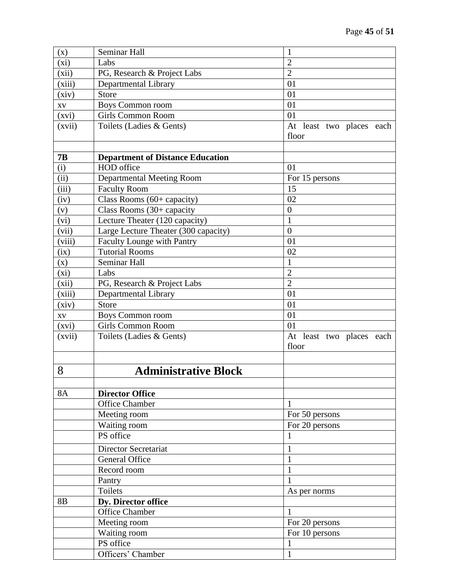| (x)            | Seminar Hall                            | $\mathbf{1}$             |
|----------------|-----------------------------------------|--------------------------|
| $(x_i)$        | Labs                                    | $\overline{2}$           |
| (xii)          | PG, Research & Project Labs             | $\overline{2}$           |
| (xiii)         | Departmental Library                    | 01                       |
| (xiv)          | Store                                   | 01                       |
| XV             | Boys Common room                        | 01                       |
| (xvi)          | <b>Girls Common Room</b>                | 01                       |
| (xvii)         | Toilets (Ladies & Gents)                | At least two places each |
|                |                                         | floor                    |
|                |                                         |                          |
| <b>7B</b>      | <b>Department of Distance Education</b> |                          |
| (i)            | HOD office                              | 01                       |
| (iii)          | Departmental Meeting Room               | For 15 persons           |
| (iii)          | <b>Faculty Room</b>                     | 15                       |
| (iv)           | Class Rooms $(60 +$ capacity)           | 02                       |
| (v)            | Class Rooms (30+ capacity               | $\overline{0}$           |
| (vi)           | Lecture Theater (120 capacity)          | $\mathbf{1}$             |
| (vii)          | Large Lecture Theater (300 capacity)    | $\overline{0}$           |
| (viii)         | <b>Faculty Lounge with Pantry</b>       | 01                       |
| (ix)           | <b>Tutorial Rooms</b>                   | 02                       |
| (x)            | Seminar Hall                            | 1                        |
| (xi)           | Labs                                    | $\overline{2}$           |
| (xii)          | PG, Research & Project Labs             | $\overline{2}$           |
| (xiii)         | Departmental Library                    | 01                       |
| (xiv)          | <b>Store</b>                            | 01                       |
| XV             | <b>Boys Common room</b>                 | 01                       |
| (xvi)          | Girls Common Room                       | 01                       |
| (xvii)         | Toilets (Ladies & Gents)                | At least two places each |
|                |                                         | floor                    |
|                |                                         |                          |
| 8              | <b>Administrative Block</b>             |                          |
|                |                                         |                          |
| <b>8A</b>      | <b>Director Office</b>                  |                          |
|                | <b>Office Chamber</b>                   | 1                        |
|                | Meeting room                            | For 50 persons           |
|                | Waiting room                            | For 20 persons           |
|                | PS office                               | 1                        |
|                | Director Secretariat                    | $\mathbf{1}$             |
|                | <b>General Office</b>                   | $\mathbf{1}$             |
|                | Record room                             | $\mathbf{1}$             |
|                | Pantry                                  | $\mathbf{1}$             |
|                | <b>Toilets</b>                          | As per norms             |
| 8 <sub>B</sub> | Dy. Director office                     |                          |
|                | <b>Office Chamber</b>                   | $\mathbf{1}$             |
|                | Meeting room                            | For 20 persons           |
|                | Waiting room                            | For 10 persons           |
|                | PS office                               | 1                        |
|                |                                         |                          |
|                | Officers' Chamber                       | $\mathbf{1}$             |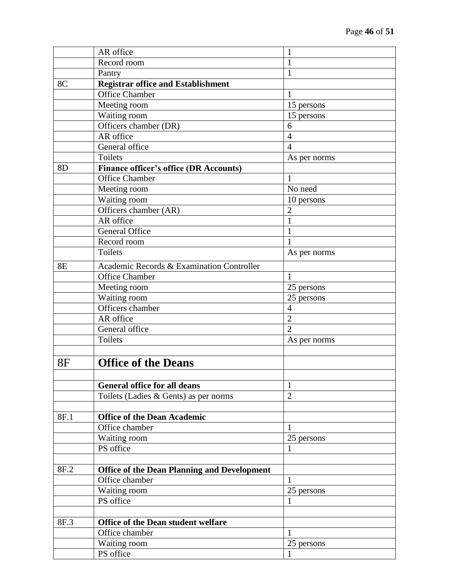|                | AR office                                          | 1              |
|----------------|----------------------------------------------------|----------------|
|                | Record room                                        | 1              |
|                | Pantry                                             | 1              |
| 8C             | <b>Registrar office and Establishment</b>          |                |
|                | <b>Office Chamber</b>                              | 1              |
|                | Meeting room                                       | 15 persons     |
|                | Waiting room                                       | 15 persons     |
|                | Officers chamber (DR)                              | 6              |
|                | AR office                                          | $\overline{4}$ |
|                | General office                                     | $\overline{4}$ |
|                | Toilets                                            | As per norms   |
| 8 <sub>D</sub> | <b>Finance officer's office (DR Accounts)</b>      |                |
|                | <b>Office Chamber</b>                              | 1              |
|                | Meeting room                                       | No need        |
|                | Waiting room                                       | 10 persons     |
|                | Officers chamber (AR)                              | $\overline{2}$ |
|                | AR office                                          | $\mathbf{1}$   |
|                | General Office                                     | $\mathbf{1}$   |
|                | Record room                                        | 1              |
|                | <b>Toilets</b>                                     | As per norms   |
| <b>8E</b>      | Academic Records & Examination Controller          |                |
|                | Office Chamber                                     | 1              |
|                | Meeting room                                       | 25 persons     |
|                | Waiting room                                       | 25 persons     |
|                | Officers chamber                                   | $\overline{4}$ |
|                | AR office                                          | $\overline{2}$ |
|                | General office                                     | $\overline{2}$ |
|                | Toilets                                            | As per norms   |
| <b>8F</b>      | <b>Office of the Deans</b>                         |                |
|                |                                                    |                |
|                | <b>General office for all deans</b>                | $\mathbf{1}$   |
|                | Toilets (Ladies & Gents) as per norms              | $\overline{2}$ |
|                |                                                    |                |
| 8F.1           | <b>Office of the Dean Academic</b>                 |                |
|                | Office chamber                                     | $\mathbf{1}$   |
|                | Waiting room                                       | 25 persons     |
|                | PS office                                          | 1              |
| 8F.2           | <b>Office of the Dean Planning and Development</b> |                |
|                | Office chamber                                     | 1              |
|                | Waiting room                                       | 25 persons     |
|                | PS office                                          |                |
| 8F.3           | Office of the Dean student welfare                 |                |
|                | Office chamber                                     | $\mathbf{1}$   |
|                |                                                    |                |
|                | Waiting room<br>PS office                          | 25 persons     |
|                |                                                    | 1              |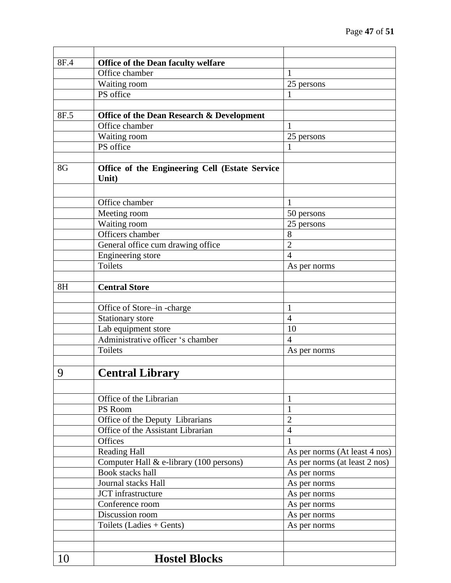| 8F.4 | Office of the Dean faculty welfare                      |                               |
|------|---------------------------------------------------------|-------------------------------|
|      | Office chamber                                          | 1                             |
|      | Waiting room                                            | 25 persons                    |
|      | PS office                                               | 1                             |
|      |                                                         |                               |
| 8F.5 | <b>Office of the Dean Research &amp; Development</b>    |                               |
|      | Office chamber                                          | 1                             |
|      | Waiting room                                            | 25 persons                    |
|      | PS office                                               |                               |
|      |                                                         |                               |
| 8G   | Office of the Engineering Cell (Estate Service<br>Unit) |                               |
|      |                                                         |                               |
|      | Office chamber                                          | 1                             |
|      | Meeting room                                            | 50 persons                    |
|      | Waiting room                                            | 25 persons                    |
|      | Officers chamber                                        | 8                             |
|      | General office cum drawing office                       | $\overline{2}$                |
|      | Engineering store                                       | $\overline{4}$                |
|      | <b>Toilets</b>                                          | As per norms                  |
|      |                                                         |                               |
| 8H   | <b>Central Store</b>                                    |                               |
|      |                                                         |                               |
|      | Office of Store-in-charge                               | 1                             |
|      | Stationary store                                        | $\overline{4}$                |
|      | Lab equipment store                                     | 10                            |
|      | Administrative officer 's chamber                       | $\overline{4}$                |
|      | <b>Toilets</b>                                          | As per norms                  |
|      |                                                         |                               |
| 9    | <b>Central Library</b>                                  |                               |
|      |                                                         |                               |
|      | Office of the Librarian                                 | $\mathbf{1}$                  |
|      | PS Room                                                 | $\mathbf{1}$                  |
|      | Office of the Deputy Librarians                         | $\overline{2}$                |
|      | Office of the Assistant Librarian                       | $\overline{4}$                |
|      | Offices                                                 | 1                             |
|      | <b>Reading Hall</b>                                     | As per norms (At least 4 nos) |
|      | Computer Hall $&e$ -library (100 persons)               | As per norms (at least 2 nos) |
|      | <b>Book stacks hall</b>                                 | As per norms                  |
|      | Journal stacks Hall                                     | As per norms                  |
|      | JCT infrastructure                                      | As per norms                  |
|      | Conference room                                         | As per norms                  |
|      | Discussion room                                         | As per norms                  |
|      | Toilets (Ladies + Gents)                                | As per norms                  |
|      |                                                         |                               |
|      |                                                         |                               |
| 10   | <b>Hostel Blocks</b>                                    |                               |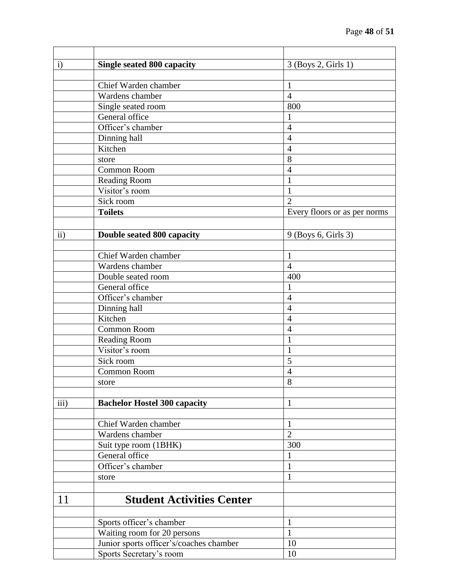| $\mathbf{i}$ | <b>Single seated 800 capacity</b>       | 3 (Boys 2, Girls 1)          |
|--------------|-----------------------------------------|------------------------------|
|              |                                         |                              |
|              | Chief Warden chamber                    | 1                            |
|              | Wardens chamber                         | $\overline{4}$               |
|              | Single seated room                      | 800                          |
|              | General office                          |                              |
|              | Officer's chamber                       | $\overline{4}$               |
|              | Dinning hall                            | $\overline{4}$               |
|              | Kitchen                                 | $\overline{4}$               |
|              | store                                   | 8                            |
|              | <b>Common Room</b>                      | $\overline{4}$               |
|              | Reading Room                            | 1                            |
|              | Visitor's room                          | 1                            |
|              | Sick room                               | $\overline{2}$               |
|              | <b>Toilets</b>                          | Every floors or as per norms |
|              |                                         |                              |
| $\rm ii)$    | Double seated 800 capacity              | 9 (Boys 6, Girls 3)          |
|              |                                         |                              |
|              | Chief Warden chamber                    | 1                            |
|              | Wardens chamber                         | $\overline{4}$               |
|              | Double seated room                      | 400                          |
|              | General office                          | 1                            |
|              | Officer's chamber                       | $\overline{4}$               |
|              | Dinning hall                            | $\overline{4}$               |
|              | Kitchen                                 | $\overline{4}$               |
|              | <b>Common Room</b>                      | $\overline{4}$               |
|              | <b>Reading Room</b>                     | 1                            |
|              | Visitor's room                          | 1                            |
|              | Sick room                               | 5                            |
|              | Common Room                             | $\overline{4}$               |
|              | store                                   | 8                            |
|              |                                         |                              |
| iii)         | <b>Bachelor Hostel 300 capacity</b>     | 1                            |
|              |                                         |                              |
|              | Chief Warden chamber                    | $\mathbf{1}$                 |
|              | Wardens chamber                         | $\overline{2}$               |
|              | Suit type room (1BHK)                   | 300                          |
|              | General office                          | 1                            |
|              | Officer's chamber                       | $\mathbf{1}$                 |
|              | store                                   | 1                            |
|              |                                         |                              |
| 11           | <b>Student Activities Center</b>        |                              |
|              |                                         |                              |
|              | Sports officer's chamber                | 1                            |
|              | Waiting room for 20 persons             | $\mathbf{1}$                 |
|              | Junior sports officer's/coaches chamber | 10                           |
|              | Sports Secretary's room                 | 10                           |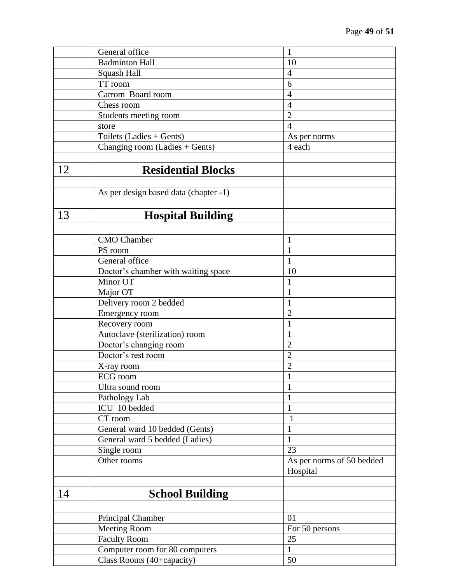|    | General office                        | $\mathbf{1}$                          |
|----|---------------------------------------|---------------------------------------|
|    | <b>Badminton Hall</b>                 | 10                                    |
|    | Squash Hall                           | $\overline{4}$                        |
|    | TT room                               | 6                                     |
|    | Carrom Board room                     | $\overline{4}$                        |
|    | Chess room                            | $\overline{4}$                        |
|    | Students meeting room                 | $\overline{2}$                        |
|    | store                                 | $\overline{4}$                        |
|    | Toilets (Ladies + Gents)              | As per norms                          |
|    | Changing room (Ladies + Gents)        | 4 each                                |
|    |                                       |                                       |
| 12 | <b>Residential Blocks</b>             |                                       |
|    | As per design based data (chapter -1) |                                       |
| 13 | <b>Hospital Building</b>              |                                       |
|    |                                       |                                       |
|    | <b>CMO</b> Chamber                    | 1                                     |
|    | PS room                               | $\mathbf{1}$                          |
|    | General office                        | $\mathbf{1}$                          |
|    | Doctor's chamber with waiting space   | 10                                    |
|    | Minor OT                              | $\mathbf{1}$                          |
|    | Major OT                              | $\mathbf{1}$                          |
|    | Delivery room 2 bedded                | $\mathbf{1}$                          |
|    | Emergency room                        | $\overline{2}$                        |
|    | Recovery room                         | $\mathbf{1}$                          |
|    | Autoclave (sterilization) room        | $\mathbf{1}$                          |
|    | Doctor's changing room                | $\overline{2}$                        |
|    | Doctor's rest room                    | $\overline{2}$                        |
|    | X-ray room                            | $\overline{2}$                        |
|    | ECG room                              | $\mathbf{1}$                          |
|    | Ultra sound room                      | 1                                     |
|    | Pathology Lab                         | $\mathbf{1}$                          |
|    | ICU 10 bedded                         | $\mathbf{1}$                          |
|    | CT room                               | $\mathbf{1}$                          |
|    | General ward 10 bedded (Gents)        | 1                                     |
|    | General ward 5 bedded (Ladies)        | $\mathbf{1}$                          |
|    | Single room                           | 23                                    |
|    | Other rooms                           | As per norms of 50 bedded<br>Hospital |
|    |                                       |                                       |
| 14 | <b>School Building</b>                |                                       |
|    | Principal Chamber                     | 01                                    |
|    | <b>Meeting Room</b>                   | For 50 persons                        |
|    | <b>Faculty Room</b>                   | 25                                    |
|    | Computer room for 80 computers        | $\mathbf{1}$                          |
|    | Class Rooms (40+capacity)             | 50                                    |
|    |                                       |                                       |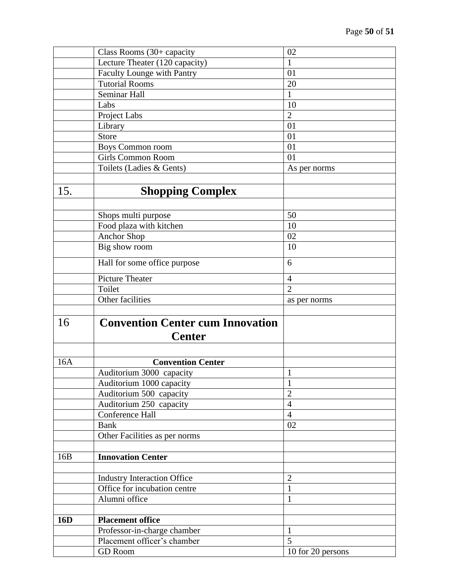|     | Class Rooms (30+ capacity                     | 02                     |
|-----|-----------------------------------------------|------------------------|
|     | Lecture Theater (120 capacity)                | 1                      |
|     | Faculty Lounge with Pantry                    | 01                     |
|     | <b>Tutorial Rooms</b>                         | 20                     |
|     | Seminar Hall                                  | $\mathbf{1}$           |
|     | Labs                                          | 10                     |
|     | Project Labs                                  | $\overline{2}$         |
|     | Library                                       | 01                     |
|     | Store                                         | 01                     |
|     | Boys Common room                              | 01                     |
|     | <b>Girls Common Room</b>                      | 01                     |
|     | Toilets (Ladies & Gents)                      | As per norms           |
|     |                                               |                        |
| 15. | <b>Shopping Complex</b>                       |                        |
|     |                                               |                        |
|     | Shops multi purpose                           | 50                     |
|     | Food plaza with kitchen                       | 10                     |
|     | <b>Anchor Shop</b>                            | 02                     |
|     | Big show room                                 | 10                     |
|     | Hall for some office purpose                  | 6                      |
|     | Picture Theater                               | $\overline{4}$         |
|     | Toilet                                        | $\overline{2}$         |
|     | Other facilities                              | as per norms           |
|     |                                               |                        |
| 16  | <b>Convention Center cum Innovation</b>       |                        |
|     | <b>Center</b>                                 |                        |
|     |                                               |                        |
| 16A | <b>Convention Center</b>                      |                        |
|     | Auditorium 3000 capacity                      | $\mathbf{1}$           |
|     | Auditorium 1000 capacity                      | 1                      |
|     | Auditorium 500 capacity                       | $\overline{2}$         |
|     | Auditorium 250 capacity                       | $\overline{4}$         |
|     |                                               |                        |
|     |                                               |                        |
|     | Conference Hall                               | $\overline{4}$         |
|     | <b>Bank</b>                                   | 02                     |
|     | Other Facilities as per norms                 |                        |
|     |                                               |                        |
| 16B | <b>Innovation Center</b>                      |                        |
|     | <b>Industry Interaction Office</b>            | $\overline{2}$         |
|     | Office for incubation centre                  | $\mathbf{1}$           |
|     | Alumni office                                 | $\mathbf{1}$           |
|     |                                               |                        |
| 16D | <b>Placement office</b>                       |                        |
|     | Professor-in-charge chamber                   | $\mathbf{1}$           |
|     | Placement officer's chamber<br><b>GD</b> Room | 5<br>10 for 20 persons |